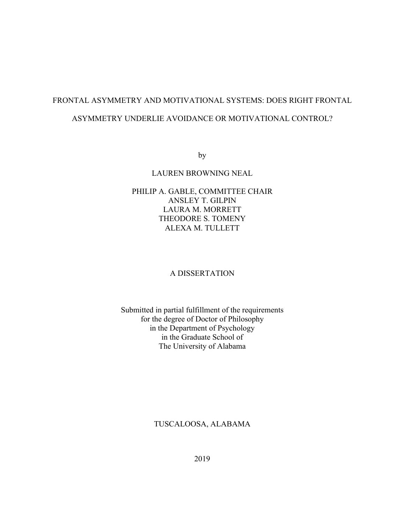# FRONTAL ASYMMETRY AND MOTIVATIONAL SYSTEMS: DOES RIGHT FRONTAL

## ASYMMETRY UNDERLIE AVOIDANCE OR MOTIVATIONAL CONTROL?

by

#### LAUREN BROWNING NEAL

## PHILIP A. GABLE, COMMITTEE CHAIR ANSLEY T. GILPIN LAURA M. MORRETT THEODORE S. TOMENY ALEXA M. TULLETT

## A DISSERTATION

## Submitted in partial fulfillment of the requirements for the degree of Doctor of Philosophy in the Department of Psychology in the Graduate School of The University of Alabama

### TUSCALOOSA, ALABAMA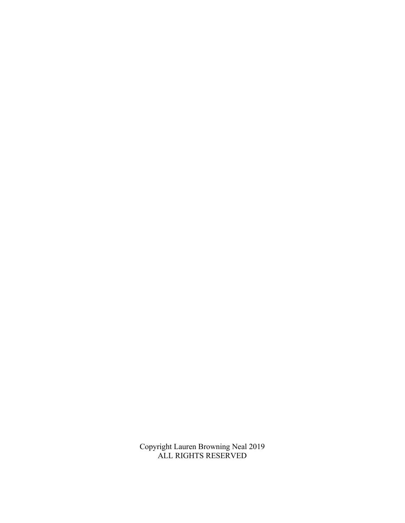Copyright Lauren Browning Neal 2019 ALL RIGHTS RESERVED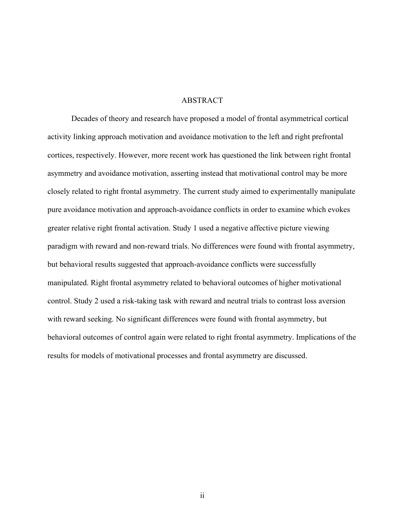#### ABSTRACT

Decades of theory and research have proposed a model of frontal asymmetrical cortical activity linking approach motivation and avoidance motivation to the left and right prefrontal cortices, respectively. However, more recent work has questioned the link between right frontal asymmetry and avoidance motivation, asserting instead that motivational control may be more closely related to right frontal asymmetry. The current study aimed to experimentally manipulate pure avoidance motivation and approach-avoidance conflicts in order to examine which evokes greater relative right frontal activation. Study 1 used a negative affective picture viewing paradigm with reward and non-reward trials. No differences were found with frontal asymmetry, but behavioral results suggested that approach-avoidance conflicts were successfully manipulated. Right frontal asymmetry related to behavioral outcomes of higher motivational control. Study 2 used a risk-taking task with reward and neutral trials to contrast loss aversion with reward seeking. No significant differences were found with frontal asymmetry, but behavioral outcomes of control again were related to right frontal asymmetry. Implications of the results for models of motivational processes and frontal asymmetry are discussed.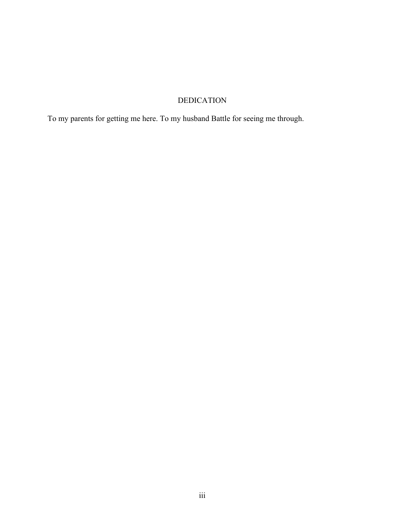# DEDICATION

To my parents for getting me here. To my husband Battle for seeing me through.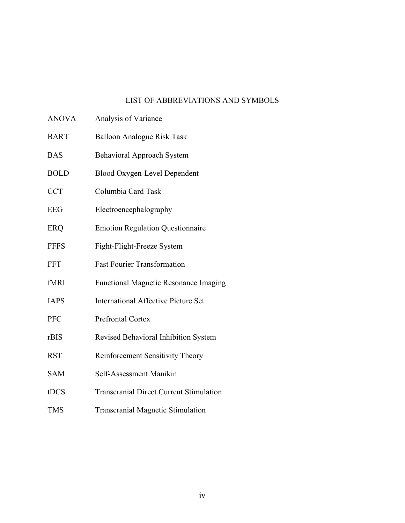## LIST OF ABBREVIATIONS AND SYMBOLS

- ANOVA Analysis of Variance
- BART Balloon Analogue Risk Task
- BAS Behavioral Approach System
- BOLD Blood Oxygen-Level Dependent
- CCT Columbia Card Task
- EEG Electroencephalography
- ERQ Emotion Regulation Questionnaire
- FFFS Fight-Flight-Freeze System
- FFT Fast Fourier Transformation
- fMRI Functional Magnetic Resonance Imaging
- IAPS International Affective Picture Set
- PFC Prefrontal Cortex
- rBIS Revised Behavioral Inhibition System
- RST Reinforcement Sensitivity Theory
- SAM Self-Assessment Manikin
- tDCS Transcranial Direct Current Stimulation
- TMS Transcranial Magnetic Stimulation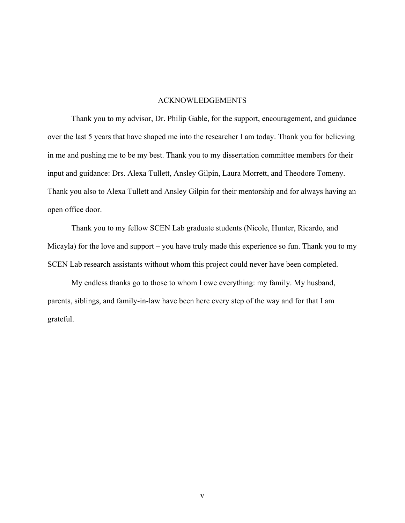#### ACKNOWLEDGEMENTS

Thank you to my advisor, Dr. Philip Gable, for the support, encouragement, and guidance over the last 5 years that have shaped me into the researcher I am today. Thank you for believing in me and pushing me to be my best. Thank you to my dissertation committee members for their input and guidance: Drs. Alexa Tullett, Ansley Gilpin, Laura Morrett, and Theodore Tomeny. Thank you also to Alexa Tullett and Ansley Gilpin for their mentorship and for always having an open office door.

Thank you to my fellow SCEN Lab graduate students (Nicole, Hunter, Ricardo, and Micayla) for the love and support – you have truly made this experience so fun. Thank you to my SCEN Lab research assistants without whom this project could never have been completed.

My endless thanks go to those to whom I owe everything: my family. My husband, parents, siblings, and family-in-law have been here every step of the way and for that I am grateful.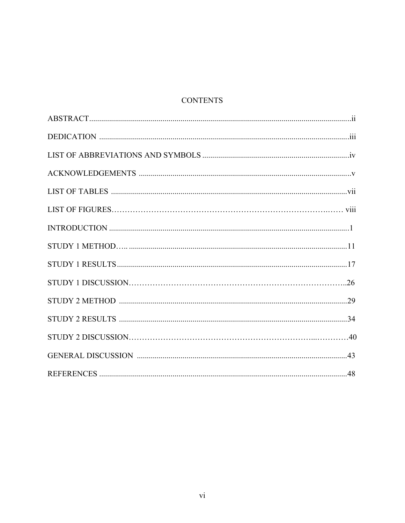# **CONTENTS**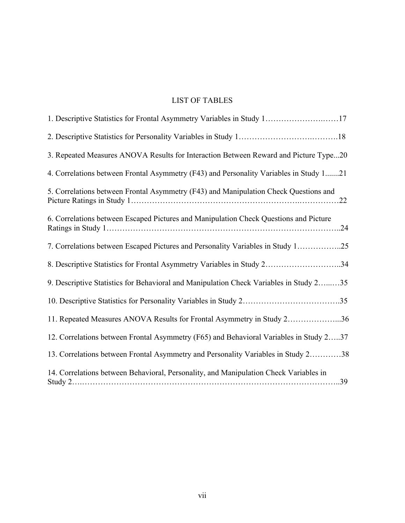# LIST OF TABLES

| 1. Descriptive Statistics for Frontal Asymmetry Variables in Study 117                 |
|----------------------------------------------------------------------------------------|
|                                                                                        |
| 3. Repeated Measures ANOVA Results for Interaction Between Reward and Picture Type20   |
| 4. Correlations between Frontal Asymmetry (F43) and Personality Variables in Study 121 |
| 5. Correlations between Frontal Asymmetry (F43) and Manipulation Check Questions and   |
| 6. Correlations between Escaped Pictures and Manipulation Check Questions and Picture  |
| 7. Correlations between Escaped Pictures and Personality Variables in Study 125        |
| 8. Descriptive Statistics for Frontal Asymmetry Variables in Study 234                 |
| 9. Descriptive Statistics for Behavioral and Manipulation Check Variables in Study 235 |
|                                                                                        |
| 11. Repeated Measures ANOVA Results for Frontal Asymmetry in Study 236                 |
| 12. Correlations between Frontal Asymmetry (F65) and Behavioral Variables in Study 237 |
| 13. Correlations between Frontal Asymmetry and Personality Variables in Study 238      |
| 14. Correlations between Behavioral, Personality, and Manipulation Check Variables in  |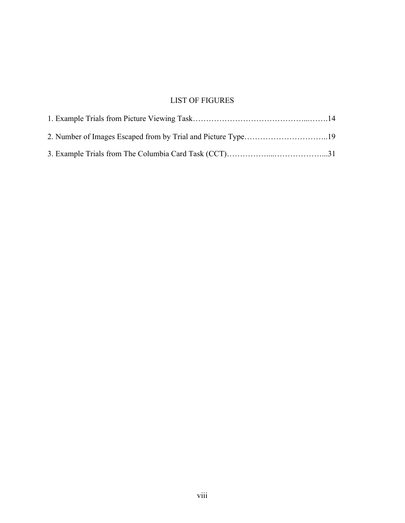# LIST OF FIGURES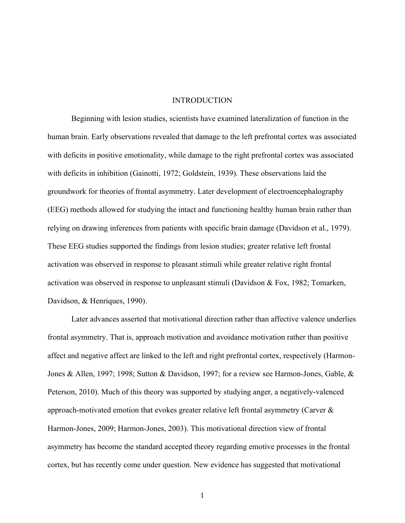#### INTRODUCTION

Beginning with lesion studies, scientists have examined lateralization of function in the human brain. Early observations revealed that damage to the left prefrontal cortex was associated with deficits in positive emotionality, while damage to the right prefrontal cortex was associated with deficits in inhibition (Gainotti, 1972; Goldstein, 1939). These observations laid the groundwork for theories of frontal asymmetry. Later development of electroencephalography (EEG) methods allowed for studying the intact and functioning healthy human brain rather than relying on drawing inferences from patients with specific brain damage (Davidson et al., 1979). These EEG studies supported the findings from lesion studies; greater relative left frontal activation was observed in response to pleasant stimuli while greater relative right frontal activation was observed in response to unpleasant stimuli (Davidson & Fox, 1982; Tomarken, Davidson, & Henriques, 1990).

Later advances asserted that motivational direction rather than affective valence underlies frontal asymmetry. That is, approach motivation and avoidance motivation rather than positive affect and negative affect are linked to the left and right prefrontal cortex, respectively (Harmon-Jones & Allen, 1997; 1998; Sutton & Davidson, 1997; for a review see Harmon-Jones, Gable, & Peterson, 2010). Much of this theory was supported by studying anger, a negatively-valenced approach-motivated emotion that evokes greater relative left frontal asymmetry (Carver & Harmon-Jones, 2009; Harmon-Jones, 2003). This motivational direction view of frontal asymmetry has become the standard accepted theory regarding emotive processes in the frontal cortex, but has recently come under question. New evidence has suggested that motivational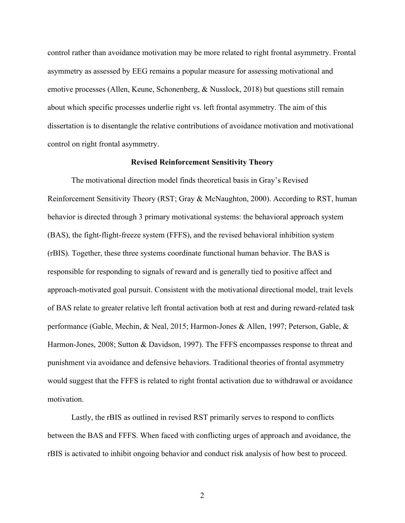control rather than avoidance motivation may be more related to right frontal asymmetry. Frontal asymmetry as assessed by EEG remains a popular measure for assessing motivational and emotive processes (Allen, Keune, Schonenberg, & Nusslock, 2018) but questions still remain about which specific processes underlie right vs. left frontal asymmetry. The aim of this dissertation is to disentangle the relative contributions of avoidance motivation and motivational control on right frontal asymmetry.

#### **Revised Reinforcement Sensitivity Theory**

The motivational direction model finds theoretical basis in Gray's Revised Reinforcement Sensitivity Theory (RST; Gray & McNaughton, 2000). According to RST, human behavior is directed through 3 primary motivational systems: the behavioral approach system (BAS), the fight-flight-freeze system (FFFS), and the revised behavioral inhibition system (rBIS). Together, these three systems coordinate functional human behavior. The BAS is responsible for responding to signals of reward and is generally tied to positive affect and approach-motivated goal pursuit. Consistent with the motivational directional model, trait levels of BAS relate to greater relative left frontal activation both at rest and during reward-related task performance (Gable, Mechin, & Neal, 2015; Harmon-Jones & Allen, 1997; Peterson, Gable, & Harmon-Jones, 2008; Sutton & Davidson, 1997). The FFFS encompasses response to threat and punishment via avoidance and defensive behaviors. Traditional theories of frontal asymmetry would suggest that the FFFS is related to right frontal activation due to withdrawal or avoidance motivation.

Lastly, the rBIS as outlined in revised RST primarily serves to respond to conflicts between the BAS and FFFS. When faced with conflicting urges of approach and avoidance, the rBIS is activated to inhibit ongoing behavior and conduct risk analysis of how best to proceed.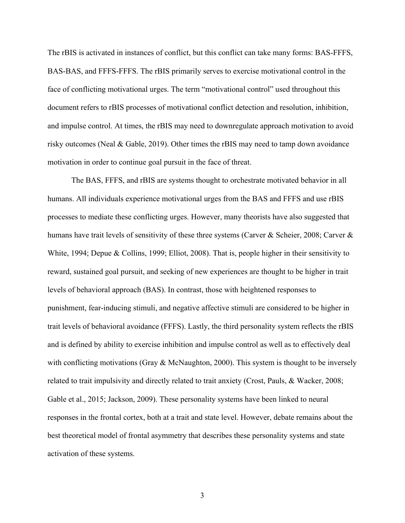The rBIS is activated in instances of conflict, but this conflict can take many forms: BAS-FFFS, BAS-BAS, and FFFS-FFFS. The rBIS primarily serves to exercise motivational control in the face of conflicting motivational urges. The term "motivational control" used throughout this document refers to rBIS processes of motivational conflict detection and resolution, inhibition, and impulse control. At times, the rBIS may need to downregulate approach motivation to avoid risky outcomes (Neal & Gable, 2019). Other times the rBIS may need to tamp down avoidance motivation in order to continue goal pursuit in the face of threat.

The BAS, FFFS, and rBIS are systems thought to orchestrate motivated behavior in all humans. All individuals experience motivational urges from the BAS and FFFS and use rBIS processes to mediate these conflicting urges. However, many theorists have also suggested that humans have trait levels of sensitivity of these three systems (Carver & Scheier, 2008; Carver & White, 1994; Depue & Collins, 1999; Elliot, 2008). That is, people higher in their sensitivity to reward, sustained goal pursuit, and seeking of new experiences are thought to be higher in trait levels of behavioral approach (BAS). In contrast, those with heightened responses to punishment, fear-inducing stimuli, and negative affective stimuli are considered to be higher in trait levels of behavioral avoidance (FFFS). Lastly, the third personality system reflects the rBIS and is defined by ability to exercise inhibition and impulse control as well as to effectively deal with conflicting motivations (Gray & McNaughton, 2000). This system is thought to be inversely related to trait impulsivity and directly related to trait anxiety (Crost, Pauls, & Wacker, 2008; Gable et al., 2015; Jackson, 2009). These personality systems have been linked to neural responses in the frontal cortex, both at a trait and state level. However, debate remains about the best theoretical model of frontal asymmetry that describes these personality systems and state activation of these systems.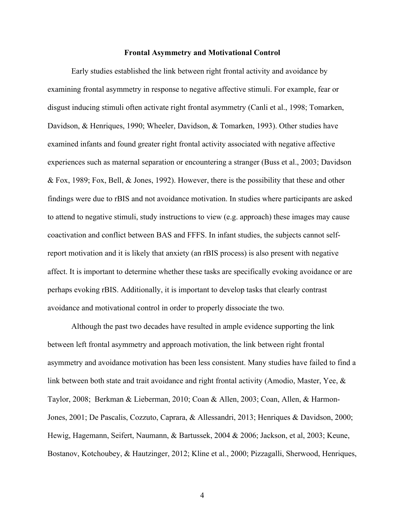#### **Frontal Asymmetry and Motivational Control**

Early studies established the link between right frontal activity and avoidance by examining frontal asymmetry in response to negative affective stimuli. For example, fear or disgust inducing stimuli often activate right frontal asymmetry (Canli et al., 1998; Tomarken, Davidson, & Henriques, 1990; Wheeler, Davidson, & Tomarken, 1993). Other studies have examined infants and found greater right frontal activity associated with negative affective experiences such as maternal separation or encountering a stranger (Buss et al., 2003; Davidson & Fox, 1989; Fox, Bell, & Jones, 1992). However, there is the possibility that these and other findings were due to rBIS and not avoidance motivation. In studies where participants are asked to attend to negative stimuli, study instructions to view (e.g. approach) these images may cause coactivation and conflict between BAS and FFFS. In infant studies, the subjects cannot selfreport motivation and it is likely that anxiety (an rBIS process) is also present with negative affect. It is important to determine whether these tasks are specifically evoking avoidance or are perhaps evoking rBIS. Additionally, it is important to develop tasks that clearly contrast avoidance and motivational control in order to properly dissociate the two.

Although the past two decades have resulted in ample evidence supporting the link between left frontal asymmetry and approach motivation, the link between right frontal asymmetry and avoidance motivation has been less consistent. Many studies have failed to find a link between both state and trait avoidance and right frontal activity (Amodio, Master, Yee, & Taylor, 2008; Berkman & Lieberman, 2010; Coan & Allen, 2003; Coan, Allen, & Harmon-Jones, 2001; De Pascalis, Cozzuto, Caprara, & Allessandri, 2013; Henriques & Davidson, 2000; Hewig, Hagemann, Seifert, Naumann, & Bartussek, 2004 & 2006; Jackson, et al, 2003; Keune, Bostanov, Kotchoubey, & Hautzinger, 2012; Kline et al., 2000; Pizzagalli, Sherwood, Henriques,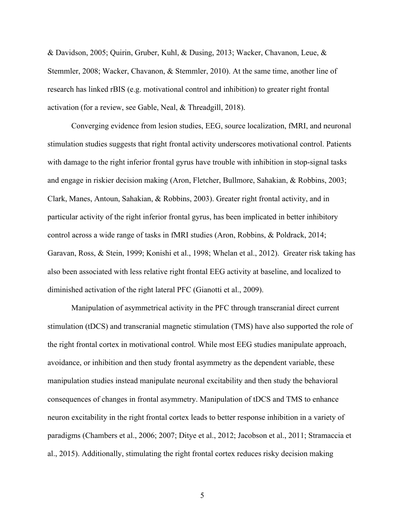& Davidson, 2005; Quirin, Gruber, Kuhl, & Dusing, 2013; Wacker, Chavanon, Leue, & Stemmler, 2008; Wacker, Chavanon, & Stemmler, 2010). At the same time, another line of research has linked rBIS (e.g. motivational control and inhibition) to greater right frontal activation (for a review, see Gable, Neal, & Threadgill, 2018).

Converging evidence from lesion studies, EEG, source localization, fMRI, and neuronal stimulation studies suggests that right frontal activity underscores motivational control. Patients with damage to the right inferior frontal gyrus have trouble with inhibition in stop-signal tasks and engage in riskier decision making (Aron, Fletcher, Bullmore, Sahakian, & Robbins, 2003; Clark, Manes, Antoun, Sahakian, & Robbins, 2003). Greater right frontal activity, and in particular activity of the right inferior frontal gyrus, has been implicated in better inhibitory control across a wide range of tasks in fMRI studies (Aron, Robbins, & Poldrack, 2014; Garavan, Ross, & Stein, 1999; Konishi et al., 1998; Whelan et al., 2012). Greater risk taking has also been associated with less relative right frontal EEG activity at baseline, and localized to diminished activation of the right lateral PFC (Gianotti et al., 2009).

Manipulation of asymmetrical activity in the PFC through transcranial direct current stimulation (tDCS) and transcranial magnetic stimulation (TMS) have also supported the role of the right frontal cortex in motivational control. While most EEG studies manipulate approach, avoidance, or inhibition and then study frontal asymmetry as the dependent variable, these manipulation studies instead manipulate neuronal excitability and then study the behavioral consequences of changes in frontal asymmetry. Manipulation of tDCS and TMS to enhance neuron excitability in the right frontal cortex leads to better response inhibition in a variety of paradigms (Chambers et al., 2006; 2007; Ditye et al., 2012; Jacobson et al., 2011; Stramaccia et al., 2015). Additionally, stimulating the right frontal cortex reduces risky decision making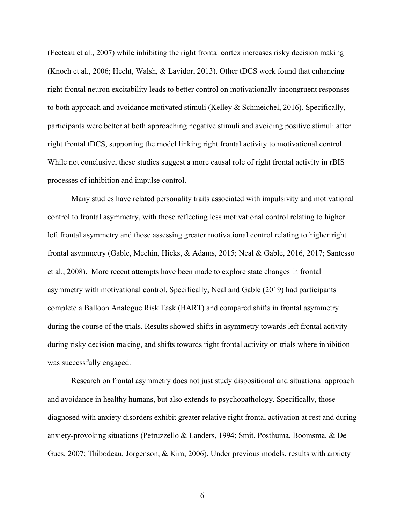(Fecteau et al., 2007) while inhibiting the right frontal cortex increases risky decision making (Knoch et al., 2006; Hecht, Walsh, & Lavidor, 2013). Other tDCS work found that enhancing right frontal neuron excitability leads to better control on motivationally-incongruent responses to both approach and avoidance motivated stimuli (Kelley & Schmeichel, 2016). Specifically, participants were better at both approaching negative stimuli and avoiding positive stimuli after right frontal tDCS, supporting the model linking right frontal activity to motivational control. While not conclusive, these studies suggest a more causal role of right frontal activity in rBIS processes of inhibition and impulse control.

Many studies have related personality traits associated with impulsivity and motivational control to frontal asymmetry, with those reflecting less motivational control relating to higher left frontal asymmetry and those assessing greater motivational control relating to higher right frontal asymmetry (Gable, Mechin, Hicks, & Adams, 2015; Neal & Gable, 2016, 2017; Santesso et al., 2008). More recent attempts have been made to explore state changes in frontal asymmetry with motivational control. Specifically, Neal and Gable (2019) had participants complete a Balloon Analogue Risk Task (BART) and compared shifts in frontal asymmetry during the course of the trials. Results showed shifts in asymmetry towards left frontal activity during risky decision making, and shifts towards right frontal activity on trials where inhibition was successfully engaged.

Research on frontal asymmetry does not just study dispositional and situational approach and avoidance in healthy humans, but also extends to psychopathology. Specifically, those diagnosed with anxiety disorders exhibit greater relative right frontal activation at rest and during anxiety-provoking situations (Petruzzello & Landers, 1994; Smit, Posthuma, Boomsma, & De Gues, 2007; Thibodeau, Jorgenson, & Kim, 2006). Under previous models, results with anxiety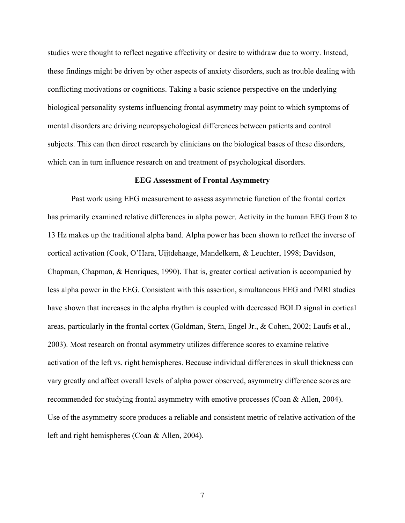studies were thought to reflect negative affectivity or desire to withdraw due to worry. Instead, these findings might be driven by other aspects of anxiety disorders, such as trouble dealing with conflicting motivations or cognitions. Taking a basic science perspective on the underlying biological personality systems influencing frontal asymmetry may point to which symptoms of mental disorders are driving neuropsychological differences between patients and control subjects. This can then direct research by clinicians on the biological bases of these disorders, which can in turn influence research on and treatment of psychological disorders.

#### **EEG Assessment of Frontal Asymmetry**

Past work using EEG measurement to assess asymmetric function of the frontal cortex has primarily examined relative differences in alpha power. Activity in the human EEG from 8 to 13 Hz makes up the traditional alpha band. Alpha power has been shown to reflect the inverse of cortical activation (Cook, O'Hara, Uijtdehaage, Mandelkern, & Leuchter, 1998; Davidson, Chapman, Chapman, & Henriques, 1990). That is, greater cortical activation is accompanied by less alpha power in the EEG. Consistent with this assertion, simultaneous EEG and fMRI studies have shown that increases in the alpha rhythm is coupled with decreased BOLD signal in cortical areas, particularly in the frontal cortex (Goldman, Stern, Engel Jr., & Cohen, 2002; Laufs et al., 2003). Most research on frontal asymmetry utilizes difference scores to examine relative activation of the left vs. right hemispheres. Because individual differences in skull thickness can vary greatly and affect overall levels of alpha power observed, asymmetry difference scores are recommended for studying frontal asymmetry with emotive processes (Coan & Allen, 2004). Use of the asymmetry score produces a reliable and consistent metric of relative activation of the left and right hemispheres (Coan & Allen, 2004).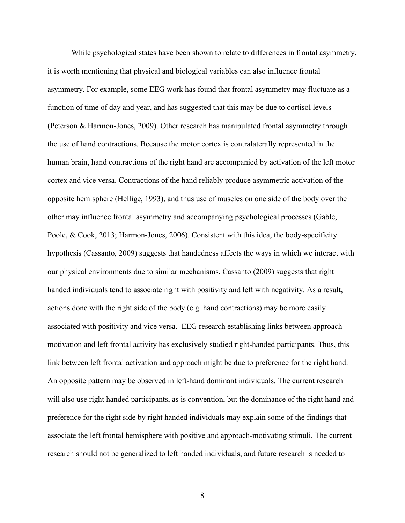While psychological states have been shown to relate to differences in frontal asymmetry, it is worth mentioning that physical and biological variables can also influence frontal asymmetry. For example, some EEG work has found that frontal asymmetry may fluctuate as a function of time of day and year, and has suggested that this may be due to cortisol levels (Peterson & Harmon-Jones, 2009). Other research has manipulated frontal asymmetry through the use of hand contractions. Because the motor cortex is contralaterally represented in the human brain, hand contractions of the right hand are accompanied by activation of the left motor cortex and vice versa. Contractions of the hand reliably produce asymmetric activation of the opposite hemisphere (Hellige, 1993), and thus use of muscles on one side of the body over the other may influence frontal asymmetry and accompanying psychological processes (Gable, Poole, & Cook, 2013; Harmon-Jones, 2006). Consistent with this idea, the body-specificity hypothesis (Cassanto, 2009) suggests that handedness affects the ways in which we interact with our physical environments due to similar mechanisms. Cassanto (2009) suggests that right handed individuals tend to associate right with positivity and left with negativity. As a result, actions done with the right side of the body (e.g. hand contractions) may be more easily associated with positivity and vice versa. EEG research establishing links between approach motivation and left frontal activity has exclusively studied right-handed participants. Thus, this link between left frontal activation and approach might be due to preference for the right hand. An opposite pattern may be observed in left-hand dominant individuals. The current research will also use right handed participants, as is convention, but the dominance of the right hand and preference for the right side by right handed individuals may explain some of the findings that associate the left frontal hemisphere with positive and approach-motivating stimuli. The current research should not be generalized to left handed individuals, and future research is needed to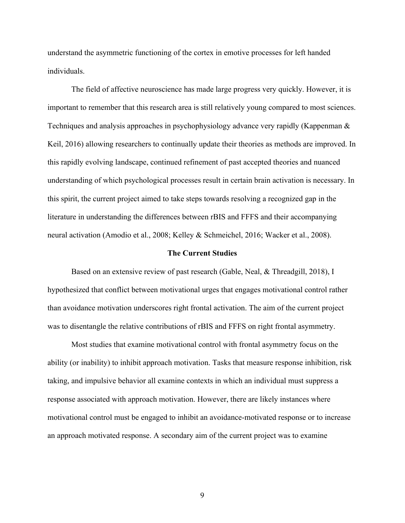understand the asymmetric functioning of the cortex in emotive processes for left handed individuals.

The field of affective neuroscience has made large progress very quickly. However, it is important to remember that this research area is still relatively young compared to most sciences. Techniques and analysis approaches in psychophysiology advance very rapidly (Kappenman & Keil, 2016) allowing researchers to continually update their theories as methods are improved. In this rapidly evolving landscape, continued refinement of past accepted theories and nuanced understanding of which psychological processes result in certain brain activation is necessary. In this spirit, the current project aimed to take steps towards resolving a recognized gap in the literature in understanding the differences between rBIS and FFFS and their accompanying neural activation (Amodio et al., 2008; Kelley & Schmeichel, 2016; Wacker et al., 2008).

#### **The Current Studies**

Based on an extensive review of past research (Gable, Neal, & Threadgill, 2018), I hypothesized that conflict between motivational urges that engages motivational control rather than avoidance motivation underscores right frontal activation. The aim of the current project was to disentangle the relative contributions of rBIS and FFFS on right frontal asymmetry.

Most studies that examine motivational control with frontal asymmetry focus on the ability (or inability) to inhibit approach motivation. Tasks that measure response inhibition, risk taking, and impulsive behavior all examine contexts in which an individual must suppress a response associated with approach motivation. However, there are likely instances where motivational control must be engaged to inhibit an avoidance-motivated response or to increase an approach motivated response. A secondary aim of the current project was to examine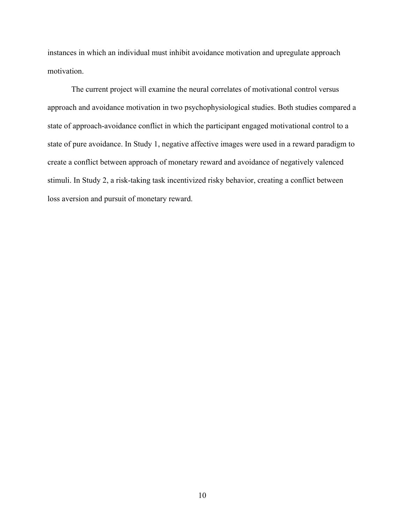instances in which an individual must inhibit avoidance motivation and upregulate approach motivation.

The current project will examine the neural correlates of motivational control versus approach and avoidance motivation in two psychophysiological studies. Both studies compared a state of approach-avoidance conflict in which the participant engaged motivational control to a state of pure avoidance. In Study 1, negative affective images were used in a reward paradigm to create a conflict between approach of monetary reward and avoidance of negatively valenced stimuli. In Study 2, a risk-taking task incentivized risky behavior, creating a conflict between loss aversion and pursuit of monetary reward.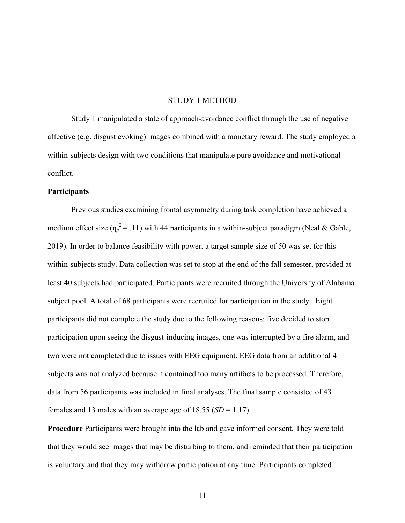#### STUDY 1 METHOD

Study 1 manipulated a state of approach-avoidance conflict through the use of negative affective (e.g. disgust evoking) images combined with a monetary reward. The study employed a within-subjects design with two conditions that manipulate pure avoidance and motivational conflict.

#### **Participants**

Previous studies examining frontal asymmetry during task completion have achieved a medium effect size  $(\eta_p^2 = .11)$  with 44 participants in a within-subject paradigm (Neal & Gable, 2019). In order to balance feasibility with power, a target sample size of 50 was set for this within-subjects study. Data collection was set to stop at the end of the fall semester, provided at least 40 subjects had participated. Participants were recruited through the University of Alabama subject pool. A total of 68 participants were recruited for participation in the study. Eight participants did not complete the study due to the following reasons: five decided to stop participation upon seeing the disgust-inducing images, one was interrupted by a fire alarm, and two were not completed due to issues with EEG equipment. EEG data from an additional 4 subjects was not analyzed because it contained too many artifacts to be processed. Therefore, data from 56 participants was included in final analyses. The final sample consisted of 43 females and 13 males with an average age of  $18.55$  (*SD* = 1.17).

**Procedure** Participants were brought into the lab and gave informed consent. They were told that they would see images that may be disturbing to them, and reminded that their participation is voluntary and that they may withdraw participation at any time. Participants completed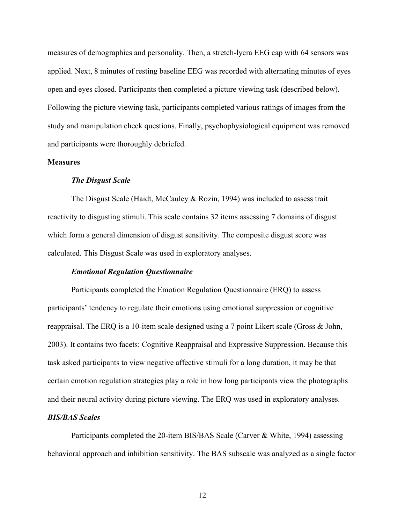measures of demographics and personality. Then, a stretch-lycra EEG cap with 64 sensors was applied. Next, 8 minutes of resting baseline EEG was recorded with alternating minutes of eyes open and eyes closed. Participants then completed a picture viewing task (described below). Following the picture viewing task, participants completed various ratings of images from the study and manipulation check questions. Finally, psychophysiological equipment was removed and participants were thoroughly debriefed.

### **Measures**

### *The Disgust Scale*

The Disgust Scale (Haidt, McCauley & Rozin, 1994) was included to assess trait reactivity to disgusting stimuli. This scale contains 32 items assessing 7 domains of disgust which form a general dimension of disgust sensitivity. The composite disgust score was calculated. This Disgust Scale was used in exploratory analyses.

#### *Emotional Regulation Questionnaire*

Participants completed the Emotion Regulation Questionnaire (ERQ) to assess participants' tendency to regulate their emotions using emotional suppression or cognitive reappraisal. The ERQ is a 10-item scale designed using a 7 point Likert scale (Gross & John, 2003). It contains two facets: Cognitive Reappraisal and Expressive Suppression. Because this task asked participants to view negative affective stimuli for a long duration, it may be that certain emotion regulation strategies play a role in how long participants view the photographs and their neural activity during picture viewing. The ERQ was used in exploratory analyses.

## *BIS/BAS Scales*

Participants completed the 20-item BIS/BAS Scale (Carver & White, 1994) assessing behavioral approach and inhibition sensitivity. The BAS subscale was analyzed as a single factor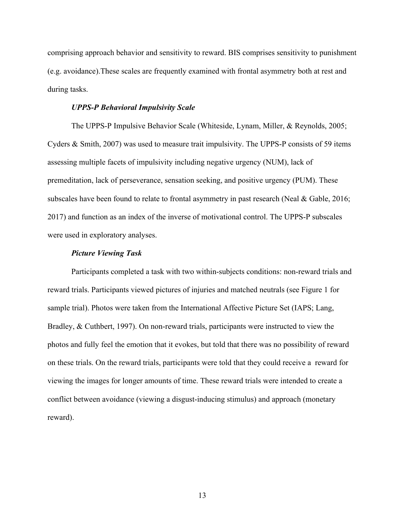comprising approach behavior and sensitivity to reward. BIS comprises sensitivity to punishment (e.g. avoidance).These scales are frequently examined with frontal asymmetry both at rest and during tasks.

#### *UPPS-P Behavioral Impulsivity Scale*

The UPPS-P Impulsive Behavior Scale (Whiteside, Lynam, Miller, & Reynolds, 2005; Cyders & Smith, 2007) was used to measure trait impulsivity. The UPPS-P consists of 59 items assessing multiple facets of impulsivity including negative urgency (NUM), lack of premeditation, lack of perseverance, sensation seeking, and positive urgency (PUM). These subscales have been found to relate to frontal asymmetry in past research (Neal & Gable, 2016; 2017) and function as an index of the inverse of motivational control. The UPPS-P subscales were used in exploratory analyses.

#### *Picture Viewing Task*

Participants completed a task with two within-subjects conditions: non-reward trials and reward trials. Participants viewed pictures of injuries and matched neutrals (see Figure 1 for sample trial). Photos were taken from the International Affective Picture Set (IAPS; Lang, Bradley, & Cuthbert, 1997). On non-reward trials, participants were instructed to view the photos and fully feel the emotion that it evokes, but told that there was no possibility of reward on these trials. On the reward trials, participants were told that they could receive a reward for viewing the images for longer amounts of time. These reward trials were intended to create a conflict between avoidance (viewing a disgust-inducing stimulus) and approach (monetary reward).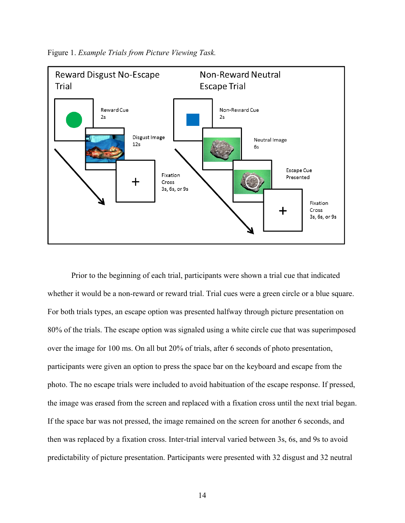

Figure 1. *Example Trials from Picture Viewing Task.* 

Prior to the beginning of each trial, participants were shown a trial cue that indicated whether it would be a non-reward or reward trial. Trial cues were a green circle or a blue square. For both trials types, an escape option was presented halfway through picture presentation on 80% of the trials. The escape option was signaled using a white circle cue that was superimposed over the image for 100 ms. On all but 20% of trials, after 6 seconds of photo presentation, participants were given an option to press the space bar on the keyboard and escape from the photo. The no escape trials were included to avoid habituation of the escape response. If pressed, the image was erased from the screen and replaced with a fixation cross until the next trial began. If the space bar was not pressed, the image remained on the screen for another 6 seconds, and then was replaced by a fixation cross. Inter-trial interval varied between 3s, 6s, and 9s to avoid predictability of picture presentation. Participants were presented with 32 disgust and 32 neutral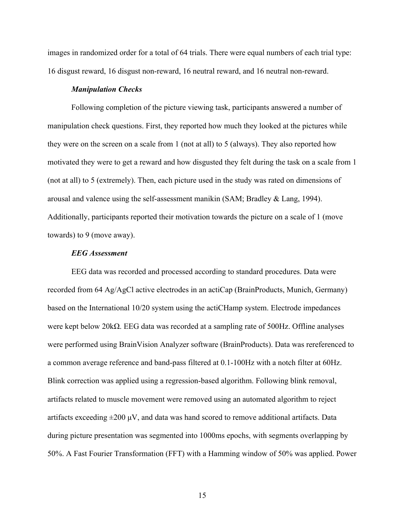images in randomized order for a total of 64 trials. There were equal numbers of each trial type: 16 disgust reward, 16 disgust non-reward, 16 neutral reward, and 16 neutral non-reward.

#### *Manipulation Checks*

Following completion of the picture viewing task, participants answered a number of manipulation check questions. First, they reported how much they looked at the pictures while they were on the screen on a scale from 1 (not at all) to 5 (always). They also reported how motivated they were to get a reward and how disgusted they felt during the task on a scale from 1 (not at all) to 5 (extremely). Then, each picture used in the study was rated on dimensions of arousal and valence using the self-assessment manikin (SAM; Bradley & Lang, 1994). Additionally, participants reported their motivation towards the picture on a scale of 1 (move towards) to 9 (move away).

#### *EEG Assessment*

EEG data was recorded and processed according to standard procedures. Data were recorded from 64 Ag/AgCl active electrodes in an actiCap (BrainProducts, Munich, Germany) based on the International 10/20 system using the actiCHamp system. Electrode impedances were kept below 20kΩ. EEG data was recorded at a sampling rate of 500Hz. Offline analyses were performed using BrainVision Analyzer software (BrainProducts). Data was rereferenced to a common average reference and band-pass filtered at 0.1-100Hz with a notch filter at 60Hz. Blink correction was applied using a regression-based algorithm. Following blink removal, artifacts related to muscle movement were removed using an automated algorithm to reject artifacts exceeding  $\pm 200 \mu V$ , and data was hand scored to remove additional artifacts. Data during picture presentation was segmented into 1000ms epochs, with segments overlapping by 50%. A Fast Fourier Transformation (FFT) with a Hamming window of 50% was applied. Power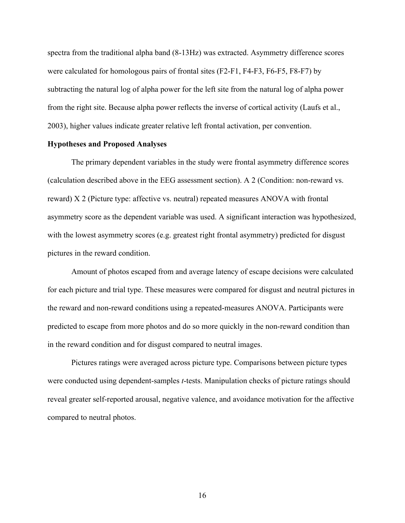spectra from the traditional alpha band (8-13Hz) was extracted. Asymmetry difference scores were calculated for homologous pairs of frontal sites (F2-F1, F4-F3, F6-F5, F8-F7) by subtracting the natural log of alpha power for the left site from the natural log of alpha power from the right site. Because alpha power reflects the inverse of cortical activity (Laufs et al., 2003), higher values indicate greater relative left frontal activation, per convention.

### **Hypotheses and Proposed Analyses**

The primary dependent variables in the study were frontal asymmetry difference scores (calculation described above in the EEG assessment section). A 2 (Condition: non-reward vs. reward) X 2 (Picture type: affective vs. neutral) repeated measures ANOVA with frontal asymmetry score as the dependent variable was used. A significant interaction was hypothesized, with the lowest asymmetry scores (e.g. greatest right frontal asymmetry) predicted for disgust pictures in the reward condition.

Amount of photos escaped from and average latency of escape decisions were calculated for each picture and trial type. These measures were compared for disgust and neutral pictures in the reward and non-reward conditions using a repeated-measures ANOVA. Participants were predicted to escape from more photos and do so more quickly in the non-reward condition than in the reward condition and for disgust compared to neutral images.

Pictures ratings were averaged across picture type. Comparisons between picture types were conducted using dependent-samples *t*-tests. Manipulation checks of picture ratings should reveal greater self-reported arousal, negative valence, and avoidance motivation for the affective compared to neutral photos.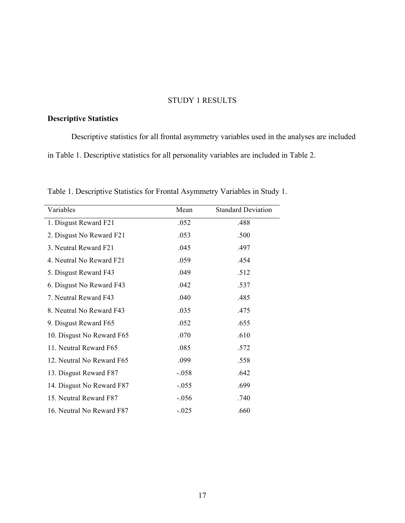### STUDY 1 RESULTS

# **Descriptive Statistics**

Descriptive statistics for all frontal asymmetry variables used in the analyses are included in Table 1. Descriptive statistics for all personality variables are included in Table 2.

| Variables                 | Mean    | <b>Standard Deviation</b> |
|---------------------------|---------|---------------------------|
| 1. Disgust Reward F21     | .052    | .488                      |
| 2. Disgust No Reward F21  | .053    | .500                      |
| 3. Neutral Reward F21     | .045    | .497                      |
| 4. Neutral No Reward F21  | .059    | .454                      |
| 5. Disgust Reward F43     | .049    | .512                      |
| 6. Disgust No Reward F43  | .042    | .537                      |
| 7. Neutral Reward F43     | .040    | .485                      |
| 8. Neutral No Reward F43  | .035    | .475                      |
| 9. Disgust Reward F65     | .052    | .655                      |
| 10. Disgust No Reward F65 | .070    | .610                      |
| 11. Neutral Reward F65    | .085    | .572                      |
| 12. Neutral No Reward F65 | .099    | .558                      |
| 13. Disgust Reward F87    | $-.058$ | .642                      |
| 14. Disgust No Reward F87 | $-.055$ | .699                      |
| 15. Neutral Reward F87    | $-.056$ | .740                      |
| 16. Neutral No Reward F87 | $-.025$ | .660                      |

Table 1. Descriptive Statistics for Frontal Asymmetry Variables in Study 1.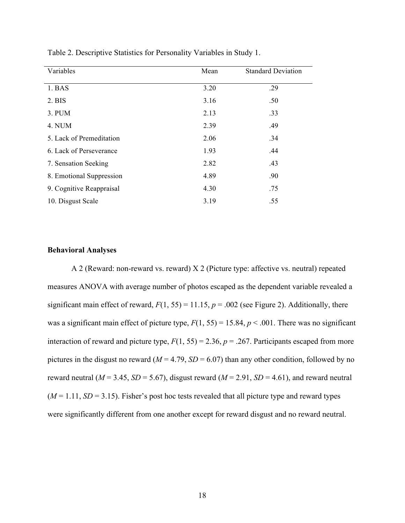| Variables                | Mean | <b>Standard Deviation</b> |
|--------------------------|------|---------------------------|
|                          |      |                           |
| 1. BAS                   | 3.20 | .29                       |
| 2. BIS                   | 3.16 | .50                       |
| 3. PUM                   | 2.13 | .33                       |
| 4. NUM                   | 2.39 | .49                       |
| 5. Lack of Premeditation | 2.06 | .34                       |
| 6. Lack of Perseverance  | 1.93 | .44                       |
| 7. Sensation Seeking     | 2.82 | .43                       |
| 8. Emotional Suppression | 4.89 | .90                       |
| 9. Cognitive Reappraisal | 4.30 | .75                       |
| 10. Disgust Scale        | 3.19 | .55                       |

Table 2. Descriptive Statistics for Personality Variables in Study 1.

## **Behavioral Analyses**

A 2 (Reward: non-reward vs. reward) X 2 (Picture type: affective vs. neutral) repeated measures ANOVA with average number of photos escaped as the dependent variable revealed a significant main effect of reward,  $F(1, 55) = 11.15$ ,  $p = .002$  (see Figure 2). Additionally, there was a significant main effect of picture type,  $F(1, 55) = 15.84$ ,  $p < .001$ . There was no significant interaction of reward and picture type,  $F(1, 55) = 2.36$ ,  $p = .267$ . Participants escaped from more pictures in the disgust no reward ( $M = 4.79$ ,  $SD = 6.07$ ) than any other condition, followed by no reward neutral ( $M = 3.45$ ,  $SD = 5.67$ ), disgust reward ( $M = 2.91$ ,  $SD = 4.61$ ), and reward neutral  $(M = 1.11, SD = 3.15)$ . Fisher's post hoc tests revealed that all picture type and reward types were significantly different from one another except for reward disgust and no reward neutral.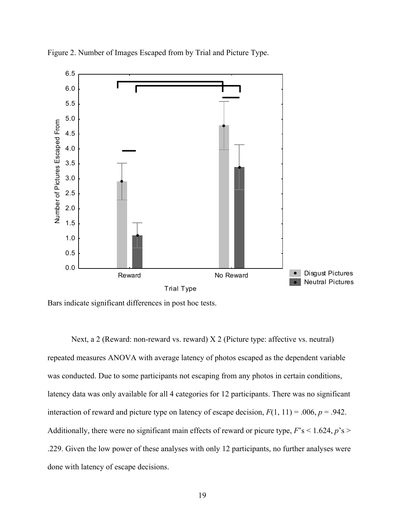

Figure 2. Number of Images Escaped from by Trial and Picture Type.

Bars indicate significant differences in post hoc tests.

Next, a 2 (Reward: non-reward vs. reward) X 2 (Picture type: affective vs. neutral) repeated measures ANOVA with average latency of photos escaped as the dependent variable was conducted. Due to some participants not escaping from any photos in certain conditions, latency data was only available for all 4 categories for 12 participants. There was no significant interaction of reward and picture type on latency of escape decision,  $F(1, 11) = .006$ ,  $p = .942$ . Additionally, there were no significant main effects of reward or picure type,  $F$ 's < 1.624,  $p$ 's > .229. Given the low power of these analyses with only 12 participants, no further analyses were done with latency of escape decisions.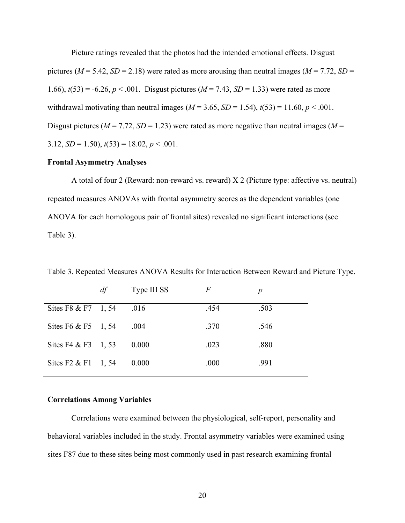Picture ratings revealed that the photos had the intended emotional effects. Disgust pictures ( $M = 5.42$ ,  $SD = 2.18$ ) were rated as more arousing than neutral images ( $M = 7.72$ ,  $SD =$ 1.66),  $t(53) = -6.26$ ,  $p < .001$ . Disgust pictures ( $M = 7.43$ ,  $SD = 1.33$ ) were rated as more withdrawal motivating than neutral images ( $M = 3.65$ ,  $SD = 1.54$ ),  $t(53) = 11.60$ ,  $p < .001$ . Disgust pictures ( $M = 7.72$ ,  $SD = 1.23$ ) were rated as more negative than neutral images ( $M =$ 3.12,  $SD = 1.50$ ,  $t(53) = 18.02$ ,  $p < .001$ .

#### **Frontal Asymmetry Analyses**

A total of four 2 (Reward: non-reward vs. reward) X 2 (Picture type: affective vs. neutral) repeated measures ANOVAs with frontal asymmetry scores as the dependent variables (one ANOVA for each homologous pair of frontal sites) revealed no significant interactions (see Table 3).

Table 3. Repeated Measures ANOVA Results for Interaction Between Reward and Picture Type.

|                              | df | Type III SS | F    | p    |
|------------------------------|----|-------------|------|------|
| Sites F8 & F7 1, 54          |    | .016        | .454 | .503 |
| Sites F6 & F5 1, 54          |    | .004        | .370 | .546 |
| Sites F4 & F3 1, 53          |    | 0.000       | .023 | .880 |
| Sites $F2 \& F1 \quad 1, 54$ |    | 0.000       | .000 | .991 |
|                              |    |             |      |      |

#### **Correlations Among Variables**

Correlations were examined between the physiological, self-report, personality and behavioral variables included in the study. Frontal asymmetry variables were examined using sites F87 due to these sites being most commonly used in past research examining frontal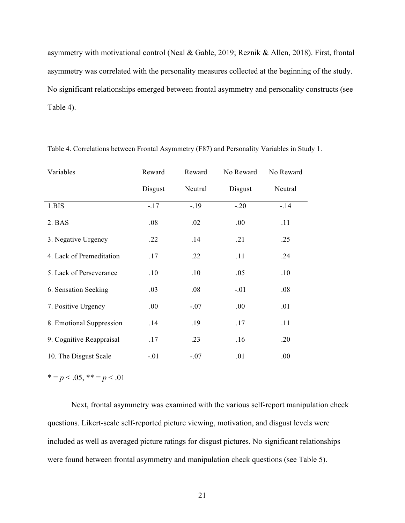asymmetry with motivational control (Neal & Gable, 2019; Reznik & Allen, 2018). First, frontal asymmetry was correlated with the personality measures collected at the beginning of the study. No significant relationships emerged between frontal asymmetry and personality constructs (see Table 4).

| Variables                | Reward  | Reward  | No Reward | No Reward |
|--------------------------|---------|---------|-----------|-----------|
|                          | Disgust | Neutral | Disgust   | Neutral   |
| 1.BIS                    | $-.17$  | $-19$   | $-.20$    | $-14$     |
| 2. BAS                   | .08     | .02     | .00.      | .11       |
| 3. Negative Urgency      | .22     | .14     | .21       | .25       |
| 4. Lack of Premeditation | .17     | .22     | .11       | .24       |
| 5. Lack of Perseverance  | .10     | .10     | .05       | .10       |
| 6. Sensation Seeking     | .03     | .08     | $-.01$    | .08       |
| 7. Positive Urgency      | .00.    | $-.07$  | .00       | .01       |
| 8. Emotional Suppression | .14     | .19     | .17       | .11       |
| 9. Cognitive Reappraisal | .17     | .23     | .16       | .20       |
| 10. The Disgust Scale    | $-.01$  | $-.07$  | .01       | .00       |

Table 4. Correlations between Frontal Asymmetry (F87) and Personality Variables in Study 1.

 $* = p < .05, ** = p < .01$ 

Next, frontal asymmetry was examined with the various self-report manipulation check questions. Likert-scale self-reported picture viewing, motivation, and disgust levels were included as well as averaged picture ratings for disgust pictures. No significant relationships were found between frontal asymmetry and manipulation check questions (see Table 5).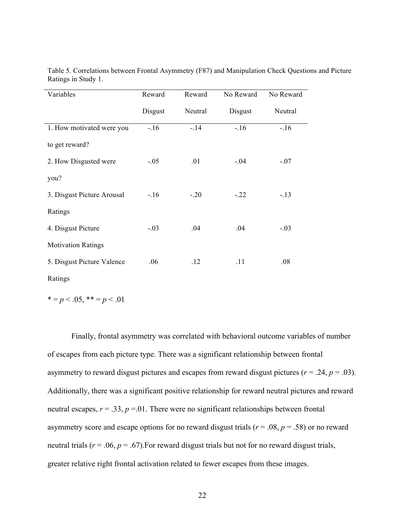| Variables                  | Reward  | Reward  | No Reward | No Reward |
|----------------------------|---------|---------|-----------|-----------|
|                            | Disgust | Neutral | Disgust   | Neutral   |
| 1. How motivated were you  | $-16$   | $-14$   | $-.16$    | $-16$     |
| to get reward?             |         |         |           |           |
| 2. How Disgusted were      | $-.05$  | .01     | $-.04$    | $-.07$    |
| you?                       |         |         |           |           |
| 3. Disgust Picture Arousal | $-16$   | $-.20$  | $-.22$    | $-.13$    |
| Ratings                    |         |         |           |           |
| 4. Disgust Picture         | $-.03$  | .04     | .04       | $-.03$    |
| <b>Motivation Ratings</b>  |         |         |           |           |
| 5. Disgust Picture Valence | .06     | .12     | .11       | .08       |

Table 5. Correlations between Frontal Asymmetry (F87) and Manipulation Check Questions and Picture Ratings in Study 1.

Ratings

$$
* = p < .05, ** = p < .01
$$

Finally, frontal asymmetry was correlated with behavioral outcome variables of number of escapes from each picture type. There was a significant relationship between frontal asymmetry to reward disgust pictures and escapes from reward disgust pictures ( $r = .24$ ,  $p = .03$ ). Additionally, there was a significant positive relationship for reward neutral pictures and reward neutral escapes,  $r = .33$ ,  $p = .01$ . There were no significant relationships between frontal asymmetry score and escape options for no reward disgust trials ( $r = .08$ ,  $p = .58$ ) or no reward neutral trials ( $r = .06$ ,  $p = .67$ ). For reward disgust trials but not for no reward disgust trials, greater relative right frontal activation related to fewer escapes from these images.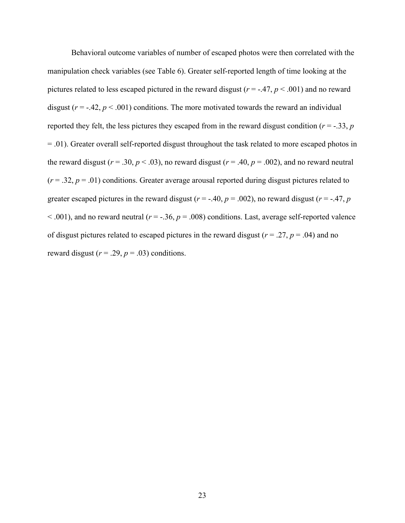Behavioral outcome variables of number of escaped photos were then correlated with the manipulation check variables (see Table 6). Greater self-reported length of time looking at the pictures related to less escaped pictured in the reward disgust (*r* = -.47, *p* < .001) and no reward disgust  $(r = -0.42, p < 0.001)$  conditions. The more motivated towards the reward an individual reported they felt, the less pictures they escaped from in the reward disgust condition ( $r = -0.33$ ,  $p = 0.53$ = .01). Greater overall self-reported disgust throughout the task related to more escaped photos in the reward disgust ( $r = .30$ ,  $p < .03$ ), no reward disgust ( $r = .40$ ,  $p = .002$ ), and no reward neutral  $(r = .32, p = .01)$  conditions. Greater average arousal reported during disgust pictures related to greater escaped pictures in the reward disgust ( $r = -.40$ ,  $p = .002$ ), no reward disgust ( $r = -.47$ ,  $p = .002$ )  $< .001$ ), and no reward neutral ( $r = -.36$ ,  $p = .008$ ) conditions. Last, average self-reported valence of disgust pictures related to escaped pictures in the reward disgust ( $r = .27$ ,  $p = .04$ ) and no reward disgust  $(r = .29, p = .03)$  conditions.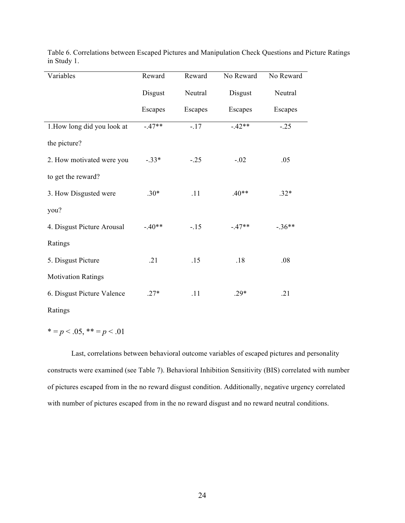| Variables                   | Reward  | Reward  | No Reward | No Reward |
|-----------------------------|---------|---------|-----------|-----------|
|                             | Disgust | Neutral | Disgust   | Neutral   |
|                             | Escapes | Escapes | Escapes   | Escapes   |
| 1. How long did you look at | $-47**$ | $-17$   | $-42**$   | $-.25$    |
| the picture?                |         |         |           |           |
| 2. How motivated were you   | $-.33*$ | $-.25$  | $-.02$    | .05       |
| to get the reward?          |         |         |           |           |
| 3. How Disgusted were       | $.30*$  | .11     | $.40**$   | $.32*$    |
| you?                        |         |         |           |           |
| 4. Disgust Picture Arousal  | $-40**$ | $-.15$  | $-47**$   | $-.36**$  |
| Ratings                     |         |         |           |           |
| 5. Disgust Picture          | .21     | .15     | .18       | .08       |
| <b>Motivation Ratings</b>   |         |         |           |           |
| 6. Disgust Picture Valence  | $.27*$  | .11     | $.29*$    | .21       |

Table 6. Correlations between Escaped Pictures and Manipulation Check Questions and Picture Ratings in Study 1.

 $* = p < .05, ** = p < .01$ 

Ratings

Last, correlations between behavioral outcome variables of escaped pictures and personality constructs were examined (see Table 7). Behavioral Inhibition Sensitivity (BIS) correlated with number of pictures escaped from in the no reward disgust condition. Additionally, negative urgency correlated with number of pictures escaped from in the no reward disgust and no reward neutral conditions.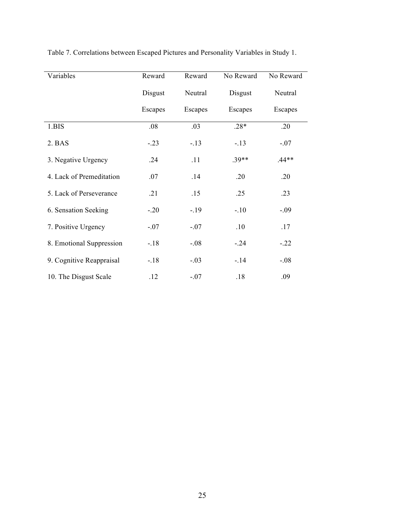| Variables                | Reward  | Reward  | No Reward | No Reward |
|--------------------------|---------|---------|-----------|-----------|
|                          | Disgust | Neutral | Disgust   | Neutral   |
|                          | Escapes | Escapes | Escapes   | Escapes   |
| 1.BIS                    | .08     | .03     | $.28*$    | .20       |
| 2. BAS                   | $-.23$  | $-13$   | $-.13$    | $-.07$    |
| 3. Negative Urgency      | .24     | .11     | $.39**$   | $.44**$   |
| 4. Lack of Premeditation | .07     | .14     | .20       | .20       |
| 5. Lack of Perseverance  | .21     | .15     | .25       | .23       |
| 6. Sensation Seeking     | $-.20$  | $-19$   | $-.10$    | $-.09$    |
| 7. Positive Urgency      | $-.07$  | $-.07$  | .10       | .17       |
| 8. Emotional Suppression | $-18$   | $-.08$  | $-0.24$   | $-.22$    |
| 9. Cognitive Reappraisal | $-18$   | $-.03$  | $-14$     | $-.08$    |
| 10. The Disgust Scale    | .12     | $-.07$  | .18       | .09       |

Table 7. Correlations between Escaped Pictures and Personality Variables in Study 1.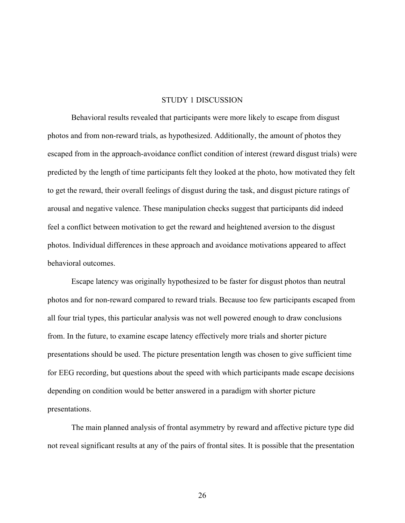#### STUDY 1 DISCUSSION

Behavioral results revealed that participants were more likely to escape from disgust photos and from non-reward trials, as hypothesized. Additionally, the amount of photos they escaped from in the approach-avoidance conflict condition of interest (reward disgust trials) were predicted by the length of time participants felt they looked at the photo, how motivated they felt to get the reward, their overall feelings of disgust during the task, and disgust picture ratings of arousal and negative valence. These manipulation checks suggest that participants did indeed feel a conflict between motivation to get the reward and heightened aversion to the disgust photos. Individual differences in these approach and avoidance motivations appeared to affect behavioral outcomes.

Escape latency was originally hypothesized to be faster for disgust photos than neutral photos and for non-reward compared to reward trials. Because too few participants escaped from all four trial types, this particular analysis was not well powered enough to draw conclusions from. In the future, to examine escape latency effectively more trials and shorter picture presentations should be used. The picture presentation length was chosen to give sufficient time for EEG recording, but questions about the speed with which participants made escape decisions depending on condition would be better answered in a paradigm with shorter picture presentations.

The main planned analysis of frontal asymmetry by reward and affective picture type did not reveal significant results at any of the pairs of frontal sites. It is possible that the presentation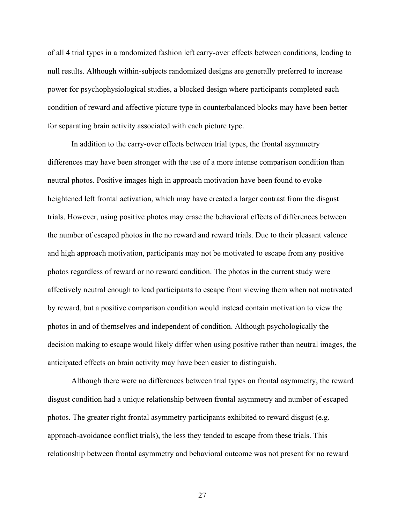of all 4 trial types in a randomized fashion left carry-over effects between conditions, leading to null results. Although within-subjects randomized designs are generally preferred to increase power for psychophysiological studies, a blocked design where participants completed each condition of reward and affective picture type in counterbalanced blocks may have been better for separating brain activity associated with each picture type.

In addition to the carry-over effects between trial types, the frontal asymmetry differences may have been stronger with the use of a more intense comparison condition than neutral photos. Positive images high in approach motivation have been found to evoke heightened left frontal activation, which may have created a larger contrast from the disgust trials. However, using positive photos may erase the behavioral effects of differences between the number of escaped photos in the no reward and reward trials. Due to their pleasant valence and high approach motivation, participants may not be motivated to escape from any positive photos regardless of reward or no reward condition. The photos in the current study were affectively neutral enough to lead participants to escape from viewing them when not motivated by reward, but a positive comparison condition would instead contain motivation to view the photos in and of themselves and independent of condition. Although psychologically the decision making to escape would likely differ when using positive rather than neutral images, the anticipated effects on brain activity may have been easier to distinguish.

Although there were no differences between trial types on frontal asymmetry, the reward disgust condition had a unique relationship between frontal asymmetry and number of escaped photos. The greater right frontal asymmetry participants exhibited to reward disgust (e.g. approach-avoidance conflict trials), the less they tended to escape from these trials. This relationship between frontal asymmetry and behavioral outcome was not present for no reward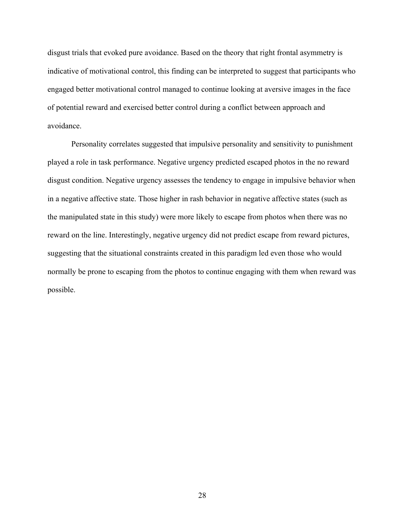disgust trials that evoked pure avoidance. Based on the theory that right frontal asymmetry is indicative of motivational control, this finding can be interpreted to suggest that participants who engaged better motivational control managed to continue looking at aversive images in the face of potential reward and exercised better control during a conflict between approach and avoidance.

Personality correlates suggested that impulsive personality and sensitivity to punishment played a role in task performance. Negative urgency predicted escaped photos in the no reward disgust condition. Negative urgency assesses the tendency to engage in impulsive behavior when in a negative affective state. Those higher in rash behavior in negative affective states (such as the manipulated state in this study) were more likely to escape from photos when there was no reward on the line. Interestingly, negative urgency did not predict escape from reward pictures, suggesting that the situational constraints created in this paradigm led even those who would normally be prone to escaping from the photos to continue engaging with them when reward was possible.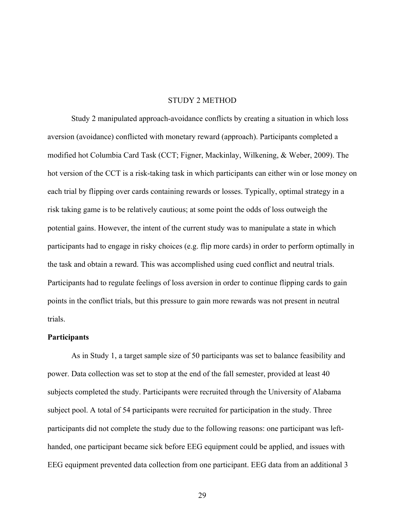#### STUDY 2 METHOD

Study 2 manipulated approach-avoidance conflicts by creating a situation in which loss aversion (avoidance) conflicted with monetary reward (approach). Participants completed a modified hot Columbia Card Task (CCT; Figner, Mackinlay, Wilkening, & Weber, 2009). The hot version of the CCT is a risk-taking task in which participants can either win or lose money on each trial by flipping over cards containing rewards or losses. Typically, optimal strategy in a risk taking game is to be relatively cautious; at some point the odds of loss outweigh the potential gains. However, the intent of the current study was to manipulate a state in which participants had to engage in risky choices (e.g. flip more cards) in order to perform optimally in the task and obtain a reward. This was accomplished using cued conflict and neutral trials. Participants had to regulate feelings of loss aversion in order to continue flipping cards to gain points in the conflict trials, but this pressure to gain more rewards was not present in neutral trials.

## **Participants**

As in Study 1, a target sample size of 50 participants was set to balance feasibility and power. Data collection was set to stop at the end of the fall semester, provided at least 40 subjects completed the study. Participants were recruited through the University of Alabama subject pool. A total of 54 participants were recruited for participation in the study. Three participants did not complete the study due to the following reasons: one participant was lefthanded, one participant became sick before EEG equipment could be applied, and issues with EEG equipment prevented data collection from one participant. EEG data from an additional 3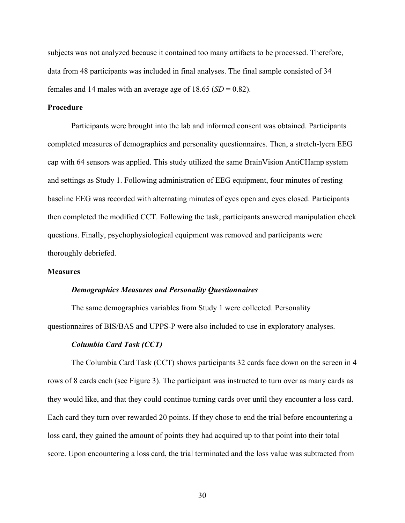subjects was not analyzed because it contained too many artifacts to be processed. Therefore, data from 48 participants was included in final analyses. The final sample consisted of 34 females and 14 males with an average age of  $18.65$  (*SD* = 0.82).

### **Procedure**

Participants were brought into the lab and informed consent was obtained. Participants completed measures of demographics and personality questionnaires. Then, a stretch-lycra EEG cap with 64 sensors was applied. This study utilized the same BrainVision AntiCHamp system and settings as Study 1. Following administration of EEG equipment, four minutes of resting baseline EEG was recorded with alternating minutes of eyes open and eyes closed. Participants then completed the modified CCT. Following the task, participants answered manipulation check questions. Finally, psychophysiological equipment was removed and participants were thoroughly debriefed.

## **Measures**

#### *Demographics Measures and Personality Questionnaires*

The same demographics variables from Study 1 were collected. Personality questionnaires of BIS/BAS and UPPS-P were also included to use in exploratory analyses.

#### *Columbia Card Task (CCT)*

The Columbia Card Task (CCT) shows participants 32 cards face down on the screen in 4 rows of 8 cards each (see Figure 3). The participant was instructed to turn over as many cards as they would like, and that they could continue turning cards over until they encounter a loss card. Each card they turn over rewarded 20 points. If they chose to end the trial before encountering a loss card, they gained the amount of points they had acquired up to that point into their total score. Upon encountering a loss card, the trial terminated and the loss value was subtracted from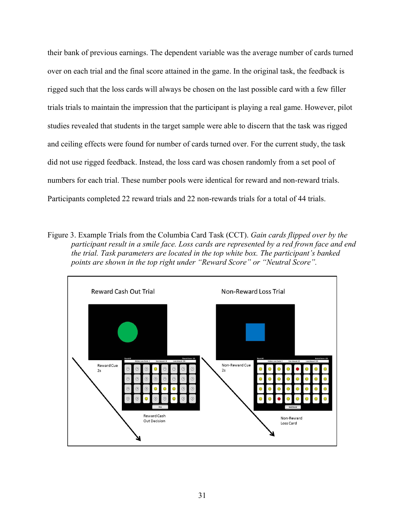their bank of previous earnings. The dependent variable was the average number of cards turned over on each trial and the final score attained in the game. In the original task, the feedback is rigged such that the loss cards will always be chosen on the last possible card with a few filler trials trials to maintain the impression that the participant is playing a real game. However, pilot studies revealed that students in the target sample were able to discern that the task was rigged and ceiling effects were found for number of cards turned over. For the current study, the task did not use rigged feedback. Instead, the loss card was chosen randomly from a set pool of numbers for each trial. These number pools were identical for reward and non-reward trials. Participants completed 22 reward trials and 22 non-rewards trials for a total of 44 trials.

Figure 3. Example Trials from the Columbia Card Task (CCT). *Gain cards flipped over by the participant result in a smile face. Loss cards are represented by a red frown face and end the trial. Task parameters are located in the top white box. The participant's banked points are shown in the top right under "Reward Score" or "Neutral Score".* 

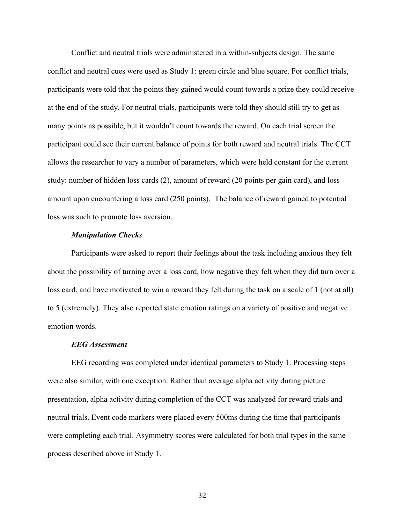Conflict and neutral trials were administered in a within-subjects design. The same conflict and neutral cues were used as Study 1: green circle and blue square. For conflict trials, participants were told that the points they gained would count towards a prize they could receive at the end of the study. For neutral trials, participants were told they should still try to get as many points as possible, but it wouldn't count towards the reward. On each trial screen the participant could see their current balance of points for both reward and neutral trials. The CCT allows the researcher to vary a number of parameters, which were held constant for the current study: number of hidden loss cards (2), amount of reward (20 points per gain card), and loss amount upon encountering a loss card (250 points). The balance of reward gained to potential loss was such to promote loss aversion.

#### *Manipulation Checks*

Participants were asked to report their feelings about the task including anxious they felt about the possibility of turning over a loss card, how negative they felt when they did turn over a loss card, and have motivated to win a reward they felt during the task on a scale of 1 (not at all) to 5 (extremely). They also reported state emotion ratings on a variety of positive and negative emotion words.

#### *EEG Assessment*

EEG recording was completed under identical parameters to Study 1. Processing steps were also similar, with one exception. Rather than average alpha activity during picture presentation, alpha activity during completion of the CCT was analyzed for reward trials and neutral trials. Event code markers were placed every 500ms during the time that participants were completing each trial. Asymmetry scores were calculated for both trial types in the same process described above in Study 1.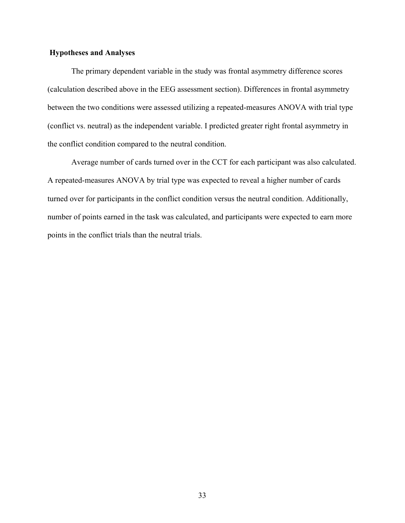### **Hypotheses and Analyses**

The primary dependent variable in the study was frontal asymmetry difference scores (calculation described above in the EEG assessment section). Differences in frontal asymmetry between the two conditions were assessed utilizing a repeated-measures ANOVA with trial type (conflict vs. neutral) as the independent variable. I predicted greater right frontal asymmetry in the conflict condition compared to the neutral condition.

Average number of cards turned over in the CCT for each participant was also calculated. A repeated-measures ANOVA by trial type was expected to reveal a higher number of cards turned over for participants in the conflict condition versus the neutral condition. Additionally, number of points earned in the task was calculated, and participants were expected to earn more points in the conflict trials than the neutral trials.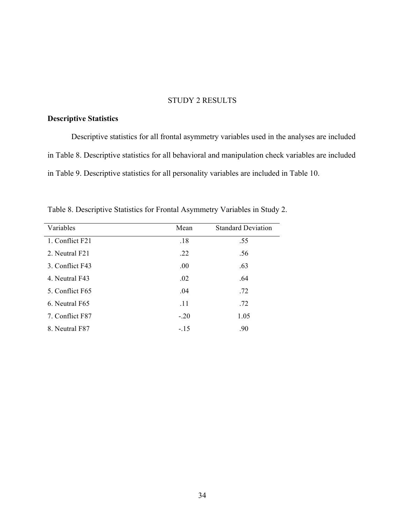## STUDY 2 RESULTS

## **Descriptive Statistics**

Descriptive statistics for all frontal asymmetry variables used in the analyses are included in Table 8. Descriptive statistics for all behavioral and manipulation check variables are included in Table 9. Descriptive statistics for all personality variables are included in Table 10.

| Variables       | Mean   | <b>Standard Deviation</b> |
|-----------------|--------|---------------------------|
| 1. Conflict F21 | .18    | .55                       |
| 2. Neutral F21  | .22    | .56                       |
| 3. Conflict F43 | .00    | .63                       |
| 4. Neutral F43  | .02    | .64                       |
| 5. Conflict F65 | .04    | .72                       |
| 6. Neutral F65  | .11    | .72                       |
| 7. Conflict F87 | $-.20$ | 1.05                      |
| 8. Neutral F87  | $-15$  | .90                       |

Table 8. Descriptive Statistics for Frontal Asymmetry Variables in Study 2.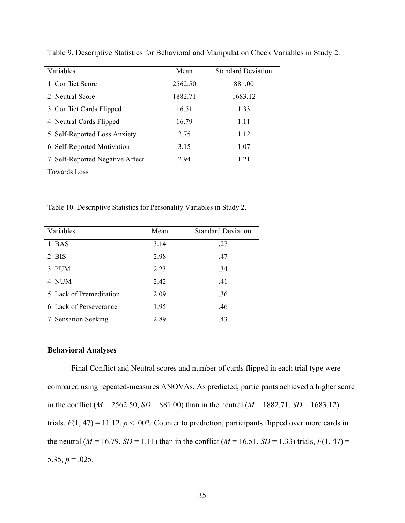| Variables                        | Mean    | <b>Standard Deviation</b> |
|----------------------------------|---------|---------------------------|
| 1. Conflict Score                | 2562.50 | 881.00                    |
| 2. Neutral Score                 | 1882.71 | 1683.12                   |
| 3. Conflict Cards Flipped        | 16.51   | 1.33                      |
| 4. Neutral Cards Flipped         | 16.79   | 1.11                      |
| 5. Self-Reported Loss Anxiety    | 2.75    | 1.12                      |
| 6. Self-Reported Motivation      | 3.15    | 1.07                      |
| 7. Self-Reported Negative Affect | 2.94    | 1 2 1                     |
| <b>Towards Loss</b>              |         |                           |

Table 9. Descriptive Statistics for Behavioral and Manipulation Check Variables in Study 2.

Table 10. Descriptive Statistics for Personality Variables in Study 2.

| Variables                | Mean | <b>Standard Deviation</b> |
|--------------------------|------|---------------------------|
| 1. <b>BAS</b>            | 3.14 | .27                       |
| 2. BIS                   | 2.98 | .47                       |
| 3. PUM                   | 2.23 | .34                       |
| 4. NUM                   | 2.42 | .41                       |
| 5. Lack of Premeditation | 2.09 | .36                       |
| 6. Lack of Perseverance  | 1.95 | .46                       |
| 7. Sensation Seeking     | 2.89 | .43                       |

## **Behavioral Analyses**

Final Conflict and Neutral scores and number of cards flipped in each trial type were compared using repeated-measures ANOVAs. As predicted, participants achieved a higher score in the conflict ( $M = 2562.50$ ,  $SD = 881.00$ ) than in the neutral ( $M = 1882.71$ ,  $SD = 1683.12$ ) trials,  $F(1, 47) = 11.12$ ,  $p < .002$ . Counter to prediction, participants flipped over more cards in the neutral ( $M = 16.79$ ,  $SD = 1.11$ ) than in the conflict ( $M = 16.51$ ,  $SD = 1.33$ ) trials,  $F(1, 47) =$ 5.35,  $p = .025$ .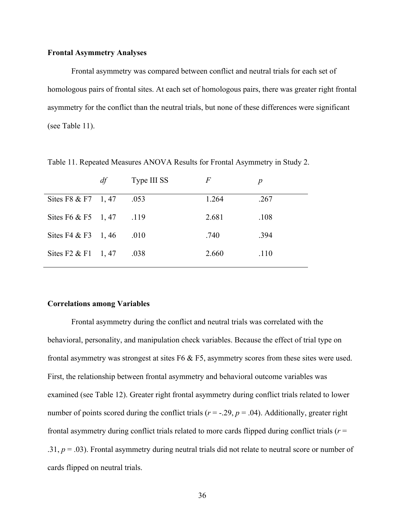#### **Frontal Asymmetry Analyses**

Frontal asymmetry was compared between conflict and neutral trials for each set of homologous pairs of frontal sites. At each set of homologous pairs, there was greater right frontal asymmetry for the conflict than the neutral trials, but none of these differences were significant (see Table 11).

|                             | df | Type III SS | $\overline{F}$ |      |
|-----------------------------|----|-------------|----------------|------|
| Sites F8 & F7 1, 47         |    | .053        | 1.264          | .267 |
| Sites F6 & F5 $1, 47$       |    | .119        | 2.681          | .108 |
| Sites F4 & F3 1, 46         |    | .010        | .740           | .394 |
| Sites $F2 \& F1 \quad 1,47$ |    | .038        | 2.660          | .110 |

Table 11. Repeated Measures ANOVA Results for Frontal Asymmetry in Study 2.

#### **Correlations among Variables**

Frontal asymmetry during the conflict and neutral trials was correlated with the behavioral, personality, and manipulation check variables. Because the effect of trial type on frontal asymmetry was strongest at sites F6 & F5, asymmetry scores from these sites were used. First, the relationship between frontal asymmetry and behavioral outcome variables was examined (see Table 12). Greater right frontal asymmetry during conflict trials related to lower number of points scored during the conflict trials ( $r = -0.29$ ,  $p = 0.04$ ). Additionally, greater right frontal asymmetry during conflict trials related to more cards flipped during conflict trials (*r* = .31,  $p = .03$ ). Frontal asymmetry during neutral trials did not relate to neutral score or number of cards flipped on neutral trials.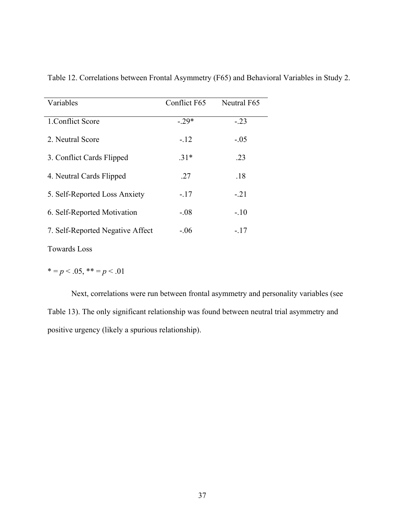| Variables                        | Conflict F65 | Neutral F65 |
|----------------------------------|--------------|-------------|
| 1. Conflict Score                | $-29*$       | $-.23$      |
| 2. Neutral Score                 | $-12$        | $-.05$      |
| 3. Conflict Cards Flipped        | $.31*$       | .23         |
| 4. Neutral Cards Flipped         | 27           | .18         |
| 5. Self-Reported Loss Anxiety    | $-.17$       | $-.21$      |
| 6. Self-Reported Motivation      | $-.08$       | $-.10$      |
| 7. Self-Reported Negative Affect | $-.06$       | $-.17$      |

Table 12. Correlations between Frontal Asymmetry (F65) and Behavioral Variables in Study 2.

Towards Loss

 $* = p < .05, ** = p < .01$ 

Next, correlations were run between frontal asymmetry and personality variables (see Table 13). The only significant relationship was found between neutral trial asymmetry and positive urgency (likely a spurious relationship).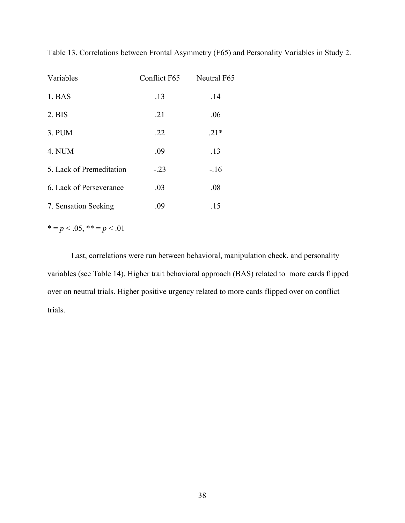| Variables                | Conflict F65 | Neutral F65 |
|--------------------------|--------------|-------------|
| 1. BAS                   | .13          | .14         |
| 2. <b>BIS</b>            | .21          | .06         |
| 3. PUM                   | .22          | $.21*$      |
| 4. NUM                   | .09          | .13         |
| 5. Lack of Premeditation | $-.23$       | $-.16$      |
| 6. Lack of Perseverance  | .03          | .08         |
| 7. Sensation Seeking     | .09          | .15         |

Table 13. Correlations between Frontal Asymmetry (F65) and Personality Variables in Study 2.

 $* = p < .05, ** = p < .01$ 

Last, correlations were run between behavioral, manipulation check, and personality variables (see Table 14). Higher trait behavioral approach (BAS) related to more cards flipped over on neutral trials. Higher positive urgency related to more cards flipped over on conflict trials.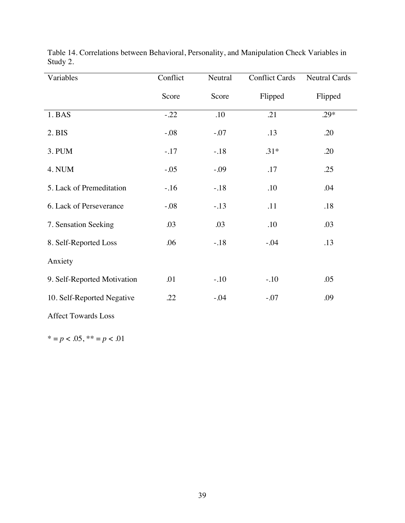| Variables                   | Conflict | Neutral | <b>Conflict Cards</b> | <b>Neutral Cards</b> |
|-----------------------------|----------|---------|-----------------------|----------------------|
|                             | Score    | Score   | Flipped               | Flipped              |
| 1. BAS                      | $-.22$   | .10     | .21                   | $.29*$               |
| 2. <b>BIS</b>               | $-.08$   | $-.07$  | .13                   | .20                  |
| 3. PUM                      | $-.17$   | $-.18$  | $.31*$                | .20                  |
| 4. NUM                      | $-.05$   | $-.09$  | .17                   | .25                  |
| 5. Lack of Premeditation    | $-.16$   | $-.18$  | .10                   | .04                  |
| 6. Lack of Perseverance     | $-.08$   | $-.13$  | .11                   | .18                  |
| 7. Sensation Seeking        | .03      | .03     | .10                   | .03                  |
| 8. Self-Reported Loss       | .06      | $-.18$  | $-.04$                | .13                  |
| Anxiety                     |          |         |                       |                      |
| 9. Self-Reported Motivation | .01      | $-.10$  | $-.10$                | .05                  |
| 10. Self-Reported Negative  | .22      | $-0.04$ | $-.07$                | .09                  |
| <b>Affect Towards Loss</b>  |          |         |                       |                      |

Table 14. Correlations between Behavioral, Personality, and Manipulation Check Variables in Study 2.

\* = *p* < .05, \*\* = *p* < .01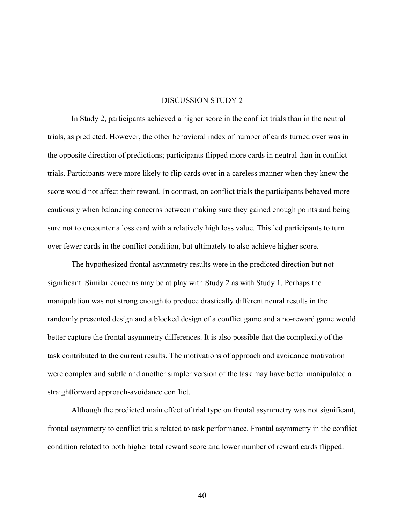#### DISCUSSION STUDY 2

In Study 2, participants achieved a higher score in the conflict trials than in the neutral trials, as predicted. However, the other behavioral index of number of cards turned over was in the opposite direction of predictions; participants flipped more cards in neutral than in conflict trials. Participants were more likely to flip cards over in a careless manner when they knew the score would not affect their reward. In contrast, on conflict trials the participants behaved more cautiously when balancing concerns between making sure they gained enough points and being sure not to encounter a loss card with a relatively high loss value. This led participants to turn over fewer cards in the conflict condition, but ultimately to also achieve higher score.

The hypothesized frontal asymmetry results were in the predicted direction but not significant. Similar concerns may be at play with Study 2 as with Study 1. Perhaps the manipulation was not strong enough to produce drastically different neural results in the randomly presented design and a blocked design of a conflict game and a no-reward game would better capture the frontal asymmetry differences. It is also possible that the complexity of the task contributed to the current results. The motivations of approach and avoidance motivation were complex and subtle and another simpler version of the task may have better manipulated a straightforward approach-avoidance conflict.

Although the predicted main effect of trial type on frontal asymmetry was not significant, frontal asymmetry to conflict trials related to task performance. Frontal asymmetry in the conflict condition related to both higher total reward score and lower number of reward cards flipped.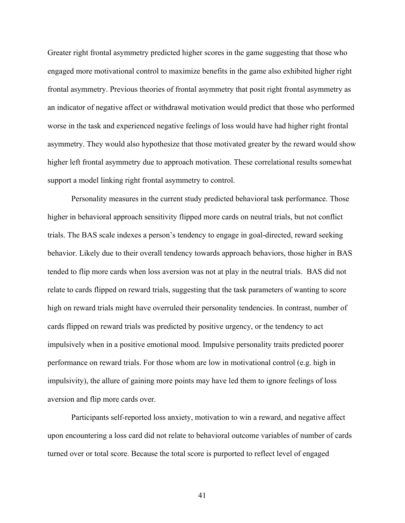Greater right frontal asymmetry predicted higher scores in the game suggesting that those who engaged more motivational control to maximize benefits in the game also exhibited higher right frontal asymmetry. Previous theories of frontal asymmetry that posit right frontal asymmetry as an indicator of negative affect or withdrawal motivation would predict that those who performed worse in the task and experienced negative feelings of loss would have had higher right frontal asymmetry. They would also hypothesize that those motivated greater by the reward would show higher left frontal asymmetry due to approach motivation. These correlational results somewhat support a model linking right frontal asymmetry to control.

Personality measures in the current study predicted behavioral task performance. Those higher in behavioral approach sensitivity flipped more cards on neutral trials, but not conflict trials. The BAS scale indexes a person's tendency to engage in goal-directed, reward seeking behavior. Likely due to their overall tendency towards approach behaviors, those higher in BAS tended to flip more cards when loss aversion was not at play in the neutral trials. BAS did not relate to cards flipped on reward trials, suggesting that the task parameters of wanting to score high on reward trials might have overruled their personality tendencies. In contrast, number of cards flipped on reward trials was predicted by positive urgency, or the tendency to act impulsively when in a positive emotional mood. Impulsive personality traits predicted poorer performance on reward trials. For those whom are low in motivational control (e.g. high in impulsivity), the allure of gaining more points may have led them to ignore feelings of loss aversion and flip more cards over.

Participants self-reported loss anxiety, motivation to win a reward, and negative affect upon encountering a loss card did not relate to behavioral outcome variables of number of cards turned over or total score. Because the total score is purported to reflect level of engaged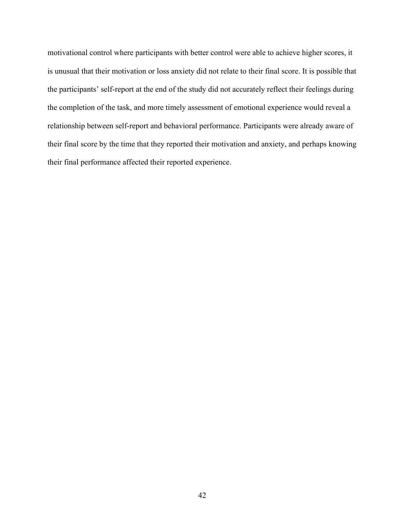motivational control where participants with better control were able to achieve higher scores, it is unusual that their motivation or loss anxiety did not relate to their final score. It is possible that the participants' self-report at the end of the study did not accurately reflect their feelings during the completion of the task, and more timely assessment of emotional experience would reveal a relationship between self-report and behavioral performance. Participants were already aware of their final score by the time that they reported their motivation and anxiety, and perhaps knowing their final performance affected their reported experience.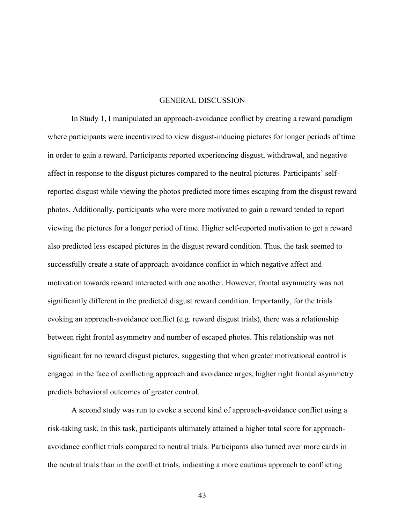#### GENERAL DISCUSSION

In Study 1, I manipulated an approach-avoidance conflict by creating a reward paradigm where participants were incentivized to view disgust-inducing pictures for longer periods of time in order to gain a reward. Participants reported experiencing disgust, withdrawal, and negative affect in response to the disgust pictures compared to the neutral pictures. Participants' selfreported disgust while viewing the photos predicted more times escaping from the disgust reward photos. Additionally, participants who were more motivated to gain a reward tended to report viewing the pictures for a longer period of time. Higher self-reported motivation to get a reward also predicted less escaped pictures in the disgust reward condition. Thus, the task seemed to successfully create a state of approach-avoidance conflict in which negative affect and motivation towards reward interacted with one another. However, frontal asymmetry was not significantly different in the predicted disgust reward condition. Importantly, for the trials evoking an approach-avoidance conflict (e.g. reward disgust trials), there was a relationship between right frontal asymmetry and number of escaped photos. This relationship was not significant for no reward disgust pictures, suggesting that when greater motivational control is engaged in the face of conflicting approach and avoidance urges, higher right frontal asymmetry predicts behavioral outcomes of greater control.

A second study was run to evoke a second kind of approach-avoidance conflict using a risk-taking task. In this task, participants ultimately attained a higher total score for approachavoidance conflict trials compared to neutral trials. Participants also turned over more cards in the neutral trials than in the conflict trials, indicating a more cautious approach to conflicting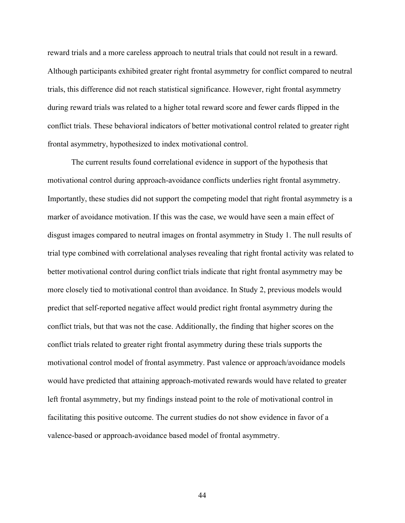reward trials and a more careless approach to neutral trials that could not result in a reward. Although participants exhibited greater right frontal asymmetry for conflict compared to neutral trials, this difference did not reach statistical significance. However, right frontal asymmetry during reward trials was related to a higher total reward score and fewer cards flipped in the conflict trials. These behavioral indicators of better motivational control related to greater right frontal asymmetry, hypothesized to index motivational control.

The current results found correlational evidence in support of the hypothesis that motivational control during approach-avoidance conflicts underlies right frontal asymmetry. Importantly, these studies did not support the competing model that right frontal asymmetry is a marker of avoidance motivation. If this was the case, we would have seen a main effect of disgust images compared to neutral images on frontal asymmetry in Study 1. The null results of trial type combined with correlational analyses revealing that right frontal activity was related to better motivational control during conflict trials indicate that right frontal asymmetry may be more closely tied to motivational control than avoidance. In Study 2, previous models would predict that self-reported negative affect would predict right frontal asymmetry during the conflict trials, but that was not the case. Additionally, the finding that higher scores on the conflict trials related to greater right frontal asymmetry during these trials supports the motivational control model of frontal asymmetry. Past valence or approach/avoidance models would have predicted that attaining approach-motivated rewards would have related to greater left frontal asymmetry, but my findings instead point to the role of motivational control in facilitating this positive outcome. The current studies do not show evidence in favor of a valence-based or approach-avoidance based model of frontal asymmetry.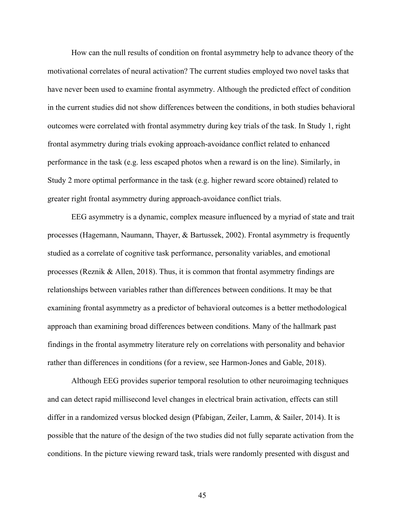How can the null results of condition on frontal asymmetry help to advance theory of the motivational correlates of neural activation? The current studies employed two novel tasks that have never been used to examine frontal asymmetry. Although the predicted effect of condition in the current studies did not show differences between the conditions, in both studies behavioral outcomes were correlated with frontal asymmetry during key trials of the task. In Study 1, right frontal asymmetry during trials evoking approach-avoidance conflict related to enhanced performance in the task (e.g. less escaped photos when a reward is on the line). Similarly, in Study 2 more optimal performance in the task (e.g. higher reward score obtained) related to greater right frontal asymmetry during approach-avoidance conflict trials.

EEG asymmetry is a dynamic, complex measure influenced by a myriad of state and trait processes (Hagemann, Naumann, Thayer, & Bartussek, 2002). Frontal asymmetry is frequently studied as a correlate of cognitive task performance, personality variables, and emotional processes (Reznik & Allen, 2018). Thus, it is common that frontal asymmetry findings are relationships between variables rather than differences between conditions. It may be that examining frontal asymmetry as a predictor of behavioral outcomes is a better methodological approach than examining broad differences between conditions. Many of the hallmark past findings in the frontal asymmetry literature rely on correlations with personality and behavior rather than differences in conditions (for a review, see Harmon-Jones and Gable, 2018).

Although EEG provides superior temporal resolution to other neuroimaging techniques and can detect rapid millisecond level changes in electrical brain activation, effects can still differ in a randomized versus blocked design (Pfabigan, Zeiler, Lamm, & Sailer, 2014). It is possible that the nature of the design of the two studies did not fully separate activation from the conditions. In the picture viewing reward task, trials were randomly presented with disgust and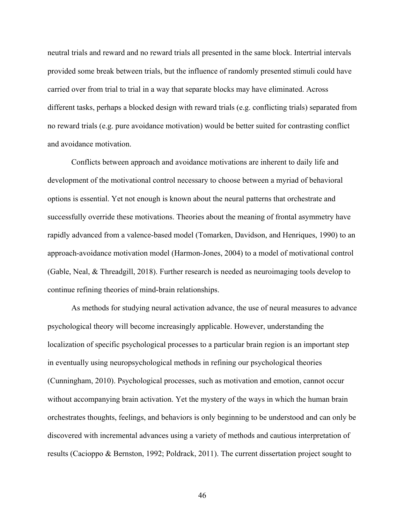neutral trials and reward and no reward trials all presented in the same block. Intertrial intervals provided some break between trials, but the influence of randomly presented stimuli could have carried over from trial to trial in a way that separate blocks may have eliminated. Across different tasks, perhaps a blocked design with reward trials (e.g. conflicting trials) separated from no reward trials (e.g. pure avoidance motivation) would be better suited for contrasting conflict and avoidance motivation.

Conflicts between approach and avoidance motivations are inherent to daily life and development of the motivational control necessary to choose between a myriad of behavioral options is essential. Yet not enough is known about the neural patterns that orchestrate and successfully override these motivations. Theories about the meaning of frontal asymmetry have rapidly advanced from a valence-based model (Tomarken, Davidson, and Henriques, 1990) to an approach-avoidance motivation model (Harmon-Jones, 2004) to a model of motivational control (Gable, Neal, & Threadgill, 2018). Further research is needed as neuroimaging tools develop to continue refining theories of mind-brain relationships.

As methods for studying neural activation advance, the use of neural measures to advance psychological theory will become increasingly applicable. However, understanding the localization of specific psychological processes to a particular brain region is an important step in eventually using neuropsychological methods in refining our psychological theories (Cunningham, 2010). Psychological processes, such as motivation and emotion, cannot occur without accompanying brain activation. Yet the mystery of the ways in which the human brain orchestrates thoughts, feelings, and behaviors is only beginning to be understood and can only be discovered with incremental advances using a variety of methods and cautious interpretation of results (Cacioppo & Bernston, 1992; Poldrack, 2011). The current dissertation project sought to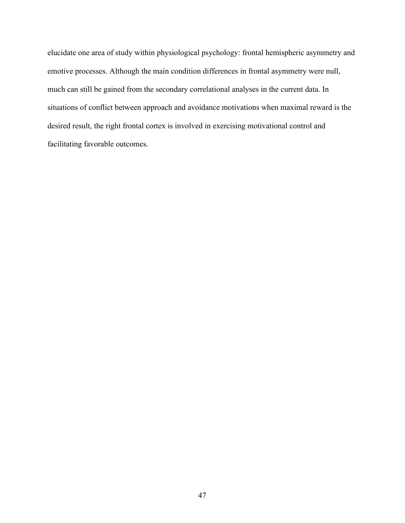elucidate one area of study within physiological psychology: frontal hemispheric asymmetry and emotive processes. Although the main condition differences in frontal asymmetry were null, much can still be gained from the secondary correlational analyses in the current data. In situations of conflict between approach and avoidance motivations when maximal reward is the desired result, the right frontal cortex is involved in exercising motivational control and facilitating favorable outcomes.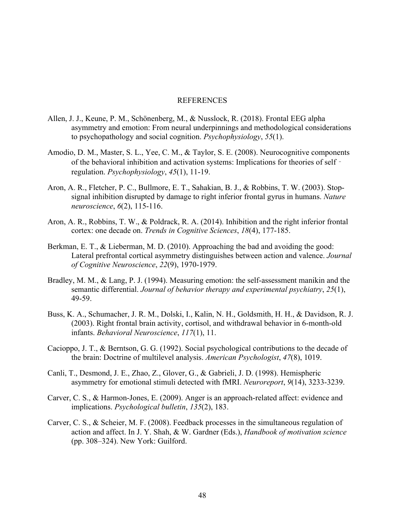#### REFERENCES

- Allen, J. J., Keune, P. M., Schönenberg, M., & Nusslock, R. (2018). Frontal EEG alpha asymmetry and emotion: From neural underpinnings and methodological considerations to psychopathology and social cognition. *Psychophysiology*, *55*(1).
- Amodio, D. M., Master, S. L., Yee, C. M., & Taylor, S. E. (2008). Neurocognitive components of the behavioral inhibition and activation systems: Implications for theories of self‐ regulation. *Psychophysiology*, *45*(1), 11-19.
- Aron, A. R., Fletcher, P. C., Bullmore, E. T., Sahakian, B. J., & Robbins, T. W. (2003). Stopsignal inhibition disrupted by damage to right inferior frontal gyrus in humans. *Nature neuroscience*, *6*(2), 115-116.
- Aron, A. R., Robbins, T. W., & Poldrack, R. A. (2014). Inhibition and the right inferior frontal cortex: one decade on. *Trends in Cognitive Sciences*, *18*(4), 177-185.
- Berkman, E. T., & Lieberman, M. D. (2010). Approaching the bad and avoiding the good: Lateral prefrontal cortical asymmetry distinguishes between action and valence. *Journal of Cognitive Neuroscience*, *22*(9), 1970-1979.
- Bradley, M. M., & Lang, P. J. (1994). Measuring emotion: the self-assessment manikin and the semantic differential. *Journal of behavior therapy and experimental psychiatry*, *25*(1), 49-59.
- Buss, K. A., Schumacher, J. R. M., Dolski, I., Kalin, N. H., Goldsmith, H. H., & Davidson, R. J. (2003). Right frontal brain activity, cortisol, and withdrawal behavior in 6-month-old infants. *Behavioral Neuroscience*, *117*(1), 11.
- Cacioppo, J. T., & Berntson, G. G. (1992). Social psychological contributions to the decade of the brain: Doctrine of multilevel analysis. *American Psychologist*, *47*(8), 1019.
- Canli, T., Desmond, J. E., Zhao, Z., Glover, G., & Gabrieli, J. D. (1998). Hemispheric asymmetry for emotional stimuli detected with fMRI. *Neuroreport*, *9*(14), 3233-3239.
- Carver, C. S., & Harmon-Jones, E. (2009). Anger is an approach-related affect: evidence and implications. *Psychological bulletin*, *135*(2), 183.
- Carver, C. S., & Scheier, M. F. (2008). Feedback processes in the simultaneous regulation of action and affect. In J. Y. Shah, & W. Gardner (Eds.), *Handbook of motivation science* (pp. 308–324). New York: Guilford.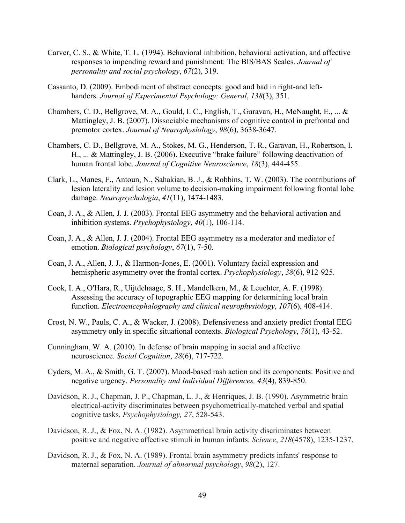- Carver, C. S., & White, T. L. (1994). Behavioral inhibition, behavioral activation, and affective responses to impending reward and punishment: The BIS/BAS Scales. *Journal of personality and social psychology*, *67*(2), 319.
- Cassanto, D. (2009). Embodiment of abstract concepts: good and bad in right-and lefthanders. *Journal of Experimental Psychology: General*, *138*(3), 351.
- Chambers, C. D., Bellgrove, M. A., Gould, I. C., English, T., Garavan, H., McNaught, E., ... & Mattingley, J. B. (2007). Dissociable mechanisms of cognitive control in prefrontal and premotor cortex. *Journal of Neurophysiology*, *98*(6), 3638-3647.
- Chambers, C. D., Bellgrove, M. A., Stokes, M. G., Henderson, T. R., Garavan, H., Robertson, I. H., ... & Mattingley, J. B. (2006). Executive "brake failure" following deactivation of human frontal lobe. *Journal of Cognitive Neuroscience*, *18*(3), 444-455.
- Clark, L., Manes, F., Antoun, N., Sahakian, B. J., & Robbins, T. W. (2003). The contributions of lesion laterality and lesion volume to decision-making impairment following frontal lobe damage. *Neuropsychologia*, *41*(11), 1474-1483.
- Coan, J. A., & Allen, J. J. (2003). Frontal EEG asymmetry and the behavioral activation and inhibition systems. *Psychophysiology*, *40*(1), 106-114.
- Coan, J. A., & Allen, J. J. (2004). Frontal EEG asymmetry as a moderator and mediator of emotion. *Biological psychology*, *67*(1), 7-50.
- Coan, J. A., Allen, J. J., & Harmon-Jones, E. (2001). Voluntary facial expression and hemispheric asymmetry over the frontal cortex. *Psychophysiology*, *38*(6), 912-925.
- Cook, I. A., O'Hara, R., Uijtdehaage, S. H., Mandelkern, M., & Leuchter, A. F. (1998). Assessing the accuracy of topographic EEG mapping for determining local brain function. *Electroencephalography and clinical neurophysiology*, *107*(6), 408-414.
- Crost, N. W., Pauls, C. A., & Wacker, J. (2008). Defensiveness and anxiety predict frontal EEG asymmetry only in specific situational contexts. *Biological Psychology*, *78*(1), 43-52.
- Cunningham, W. A. (2010). In defense of brain mapping in social and affective neuroscience. *Social Cognition*, *28*(6), 717-722.
- Cyders, M. A., & Smith, G. T. (2007). Mood-based rash action and its components: Positive and negative urgency. *Personality and Individual Differences, 43*(4), 839-850.
- Davidson, R. J., Chapman, J. P., Chapman, L. J., & Henriques, J. B. (1990). Asymmetric brain electrical-activity discriminates between psychometrically-matched verbal and spatial cognitive tasks. *Psychophysiology, 27*, 528-543.
- Davidson, R. J., & Fox, N. A. (1982). Asymmetrical brain activity discriminates between positive and negative affective stimuli in human infants. *Science*, *218*(4578), 1235-1237.
- Davidson, R. J., & Fox, N. A. (1989). Frontal brain asymmetry predicts infants' response to maternal separation. *Journal of abnormal psychology*, *98*(2), 127.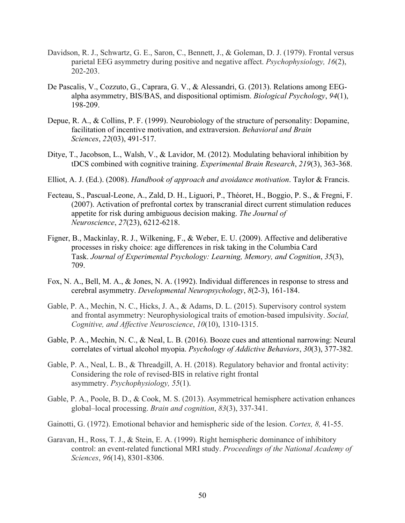- Davidson, R. J., Schwartz, G. E., Saron, C., Bennett, J., & Goleman, D. J. (1979). Frontal versus parietal EEG asymmetry during positive and negative affect. *Psychophysiology, 16*(2), 202-203.
- De Pascalis, V., Cozzuto, G., Caprara, G. V., & Alessandri, G. (2013). Relations among EEGalpha asymmetry, BIS/BAS, and dispositional optimism. *Biological Psychology*, *94*(1), 198-209.
- Depue, R. A., & Collins, P. F. (1999). Neurobiology of the structure of personality: Dopamine, facilitation of incentive motivation, and extraversion. *Behavioral and Brain Sciences*, *22*(03), 491-517.
- Ditye, T., Jacobson, L., Walsh, V., & Lavidor, M. (2012). Modulating behavioral inhibition by tDCS combined with cognitive training. *Experimental Brain Research*, *219*(3), 363-368.
- Elliot, A. J. (Ed.). (2008). *Handbook of approach and avoidance motivation*. Taylor & Francis.
- Fecteau, S., Pascual-Leone, A., Zald, D. H., Liguori, P., Théoret, H., Boggio, P. S., & Fregni, F. (2007). Activation of prefrontal cortex by transcranial direct current stimulation reduces appetite for risk during ambiguous decision making. *The Journal of Neuroscience*, *27*(23), 6212-6218.
- Figner, B., Mackinlay, R. J., Wilkening, F., & Weber, E. U. (2009). Affective and deliberative processes in risky choice: age differences in risk taking in the Columbia Card Task. *Journal of Experimental Psychology: Learning, Memory, and Cognition*, *35*(3), 709.
- Fox, N. A., Bell, M. A., & Jones, N. A. (1992). Individual differences in response to stress and cerebral asymmetry. *Developmental Neuropsychology*, *8*(2-3), 161-184.
- Gable, P. A., Mechin, N. C., Hicks, J. A., & Adams, D. L. (2015). Supervisory control system and frontal asymmetry: Neurophysiological traits of emotion-based impulsivity. *Social, Cognitive, and Affective Neuroscience*, *10*(10), 1310-1315.
- Gable, P. A., Mechin, N. C., & Neal, L. B. (2016). Booze cues and attentional narrowing: Neural correlates of virtual alcohol myopia. *Psychology of Addictive Behaviors*, *30*(3), 377-382.
- Gable, P. A., Neal, L. B., & Threadgill, A. H. (2018). Regulatory behavior and frontal activity: Considering the role of revised-BIS in relative right frontal asymmetry. *Psychophysiology, 55*(1).
- Gable, P. A., Poole, B. D., & Cook, M. S. (2013). Asymmetrical hemisphere activation enhances global–local processing. *Brain and cognition*, *83*(3), 337-341.
- Gainotti, G. (1972). Emotional behavior and hemispheric side of the lesion. *Cortex, 8,* 41-55.
- Garavan, H., Ross, T. J., & Stein, E. A. (1999). Right hemispheric dominance of inhibitory control: an event-related functional MRI study. *Proceedings of the National Academy of Sciences*, *96*(14), 8301-8306.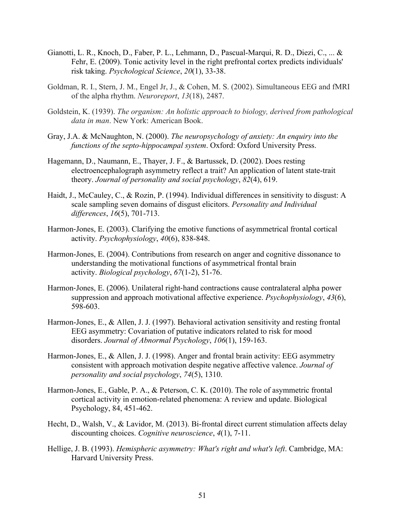- Gianotti, L. R., Knoch, D., Faber, P. L., Lehmann, D., Pascual-Marqui, R. D., Diezi, C., ... & Fehr, E. (2009). Tonic activity level in the right prefrontal cortex predicts individuals' risk taking. *Psychological Science*, *20*(1), 33-38.
- Goldman, R. I., Stern, J. M., Engel Jr, J., & Cohen, M. S. (2002). Simultaneous EEG and fMRI of the alpha rhythm. *Neuroreport*, *13*(18), 2487.
- Goldstein, K. (1939). *The organism: An holistic approach to biology, derived from pathological data in man*. New York: American Book.
- Gray, J.A. & McNaughton, N. (2000). *The neuropsychology of anxiety: An enquiry into the functions of the septo-hippocampal system*. Oxford: Oxford University Press.
- Hagemann, D., Naumann, E., Thayer, J. F., & Bartussek, D. (2002). Does resting electroencephalograph asymmetry reflect a trait? An application of latent state-trait theory. *Journal of personality and social psychology*, *82*(4), 619.
- Haidt, J., McCauley, C., & Rozin, P. (1994). Individual differences in sensitivity to disgust: A scale sampling seven domains of disgust elicitors. *Personality and Individual differences*, *16*(5), 701-713.
- Harmon-Jones, E. (2003). Clarifying the emotive functions of asymmetrical frontal cortical activity. *Psychophysiology*, *40*(6), 838-848.
- Harmon-Jones, E. (2004). Contributions from research on anger and cognitive dissonance to understanding the motivational functions of asymmetrical frontal brain activity. *Biological psychology*, *67*(1-2), 51-76.
- Harmon-Jones, E. (2006). Unilateral right-hand contractions cause contralateral alpha power suppression and approach motivational affective experience. *Psychophysiology*, *43*(6), 598-603.
- Harmon-Jones, E., & Allen, J. J. (1997). Behavioral activation sensitivity and resting frontal EEG asymmetry: Covariation of putative indicators related to risk for mood disorders. *Journal of Abnormal Psychology*, *106*(1), 159-163.
- Harmon-Jones, E., & Allen, J. J. (1998). Anger and frontal brain activity: EEG asymmetry consistent with approach motivation despite negative affective valence. *Journal of personality and social psychology*, *74*(5), 1310.
- Harmon-Jones, E., Gable, P. A., & Peterson, C. K. (2010). The role of asymmetric frontal cortical activity in emotion-related phenomena: A review and update. Biological Psychology, 84, 451-462.
- Hecht, D., Walsh, V., & Lavidor, M. (2013). Bi-frontal direct current stimulation affects delay discounting choices. *Cognitive neuroscience*, *4*(1), 7-11.
- Hellige, J. B. (1993). *Hemispheric asymmetry: What's right and what's left*. Cambridge, MA: Harvard University Press.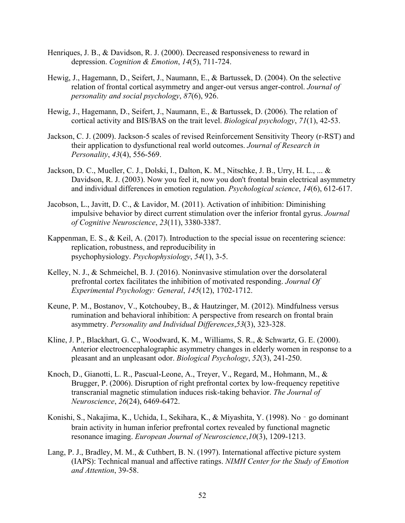- Henriques, J. B., & Davidson, R. J. (2000). Decreased responsiveness to reward in depression. *Cognition & Emotion*, *14*(5), 711-724.
- Hewig, J., Hagemann, D., Seifert, J., Naumann, E., & Bartussek, D. (2004). On the selective relation of frontal cortical asymmetry and anger-out versus anger-control. *Journal of personality and social psychology*, *87*(6), 926.
- Hewig, J., Hagemann, D., Seifert, J., Naumann, E., & Bartussek, D. (2006). The relation of cortical activity and BIS/BAS on the trait level. *Biological psychology*, *71*(1), 42-53.
- Jackson, C. J. (2009). Jackson-5 scales of revised Reinforcement Sensitivity Theory (r-RST) and their application to dysfunctional real world outcomes. *Journal of Research in Personality*, *43*(4), 556-569.
- Jackson, D. C., Mueller, C. J., Dolski, I., Dalton, K. M., Nitschke, J. B., Urry, H. L., ... & Davidson, R. J. (2003). Now you feel it, now you don't frontal brain electrical asymmetry and individual differences in emotion regulation. *Psychological science*, *14*(6), 612-617.
- Jacobson, L., Javitt, D. C., & Lavidor, M. (2011). Activation of inhibition: Diminishing impulsive behavior by direct current stimulation over the inferior frontal gyrus. *Journal of Cognitive Neuroscience*, *23*(11), 3380-3387.
- Kappenman, E. S., & Keil, A. (2017). Introduction to the special issue on recentering science: replication, robustness, and reproducibility in psychophysiology. *Psychophysiology*, *54*(1), 3-5.
- Kelley, N. J., & Schmeichel, B. J. (2016). Noninvasive stimulation over the dorsolateral prefrontal cortex facilitates the inhibition of motivated responding. *Journal Of Experimental Psychology: General*, *145*(12), 1702-1712.
- Keune, P. M., Bostanov, V., Kotchoubey, B., & Hautzinger, M. (2012). Mindfulness versus rumination and behavioral inhibition: A perspective from research on frontal brain asymmetry. *Personality and Individual Differences*,*53*(3), 323-328.
- Kline, J. P., Blackhart, G. C., Woodward, K. M., Williams, S. R., & Schwartz, G. E. (2000). Anterior electroencephalographic asymmetry changes in elderly women in response to a pleasant and an unpleasant odor. *Biological Psychology*, *52*(3), 241-250.
- Knoch, D., Gianotti, L. R., Pascual-Leone, A., Treyer, V., Regard, M., Hohmann, M., & Brugger, P. (2006). Disruption of right prefrontal cortex by low-frequency repetitive transcranial magnetic stimulation induces risk-taking behavior. *The Journal of Neuroscience*, *26*(24), 6469-6472.
- Konishi, S., Nakajima, K., Uchida, I., Sekihara, K., & Miyashita, Y. (1998). No‐go dominant brain activity in human inferior prefrontal cortex revealed by functional magnetic resonance imaging. *European Journal of Neuroscience*,*10*(3), 1209-1213.
- Lang, P. J., Bradley, M. M., & Cuthbert, B. N. (1997). International affective picture system (IAPS): Technical manual and affective ratings. *NIMH Center for the Study of Emotion and Attention*, 39-58.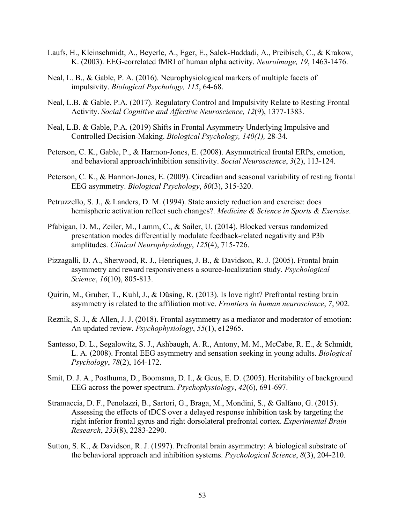- Laufs, H., Kleinschmidt, A., Beyerle, A., Eger, E., Salek-Haddadi, A., Preibisch, C., & Krakow, K. (2003). EEG-correlated fMRI of human alpha activity. *Neuroimage, 19*, 1463-1476.
- Neal, L. B., & Gable, P. A. (2016). Neurophysiological markers of multiple facets of impulsivity. *Biological Psychology, 115*, 64-68.
- Neal, L.B. & Gable, P.A. (2017). Regulatory Control and Impulsivity Relate to Resting Frontal Activity. *Social Cognitive and Affective Neuroscience, 12*(9), 1377-1383.
- Neal, L.B. & Gable, P.A. (2019) Shifts in Frontal Asymmetry Underlying Impulsive and Controlled Decision-Making. *Biological Psychology, 140(1),* 28-34*.*
- Peterson, C. K., Gable, P., & Harmon-Jones, E. (2008). Asymmetrical frontal ERPs, emotion, and behavioral approach/inhibition sensitivity. *Social Neuroscience*, *3*(2), 113-124.
- Peterson, C. K., & Harmon-Jones, E. (2009). Circadian and seasonal variability of resting frontal EEG asymmetry. *Biological Psychology*, *80*(3), 315-320.
- Petruzzello, S. J., & Landers, D. M. (1994). State anxiety reduction and exercise: does hemispheric activation reflect such changes?. *Medicine & Science in Sports & Exercise*.
- Pfabigan, D. M., Zeiler, M., Lamm, C., & Sailer, U. (2014). Blocked versus randomized presentation modes differentially modulate feedback-related negativity and P3b amplitudes. *Clinical Neurophysiology*, *125*(4), 715-726.
- Pizzagalli, D. A., Sherwood, R. J., Henriques, J. B., & Davidson, R. J. (2005). Frontal brain asymmetry and reward responsiveness a source-localization study. *Psychological Science*, *16*(10), 805-813.
- Quirin, M., Gruber, T., Kuhl, J., & Düsing, R. (2013). Is love right? Prefrontal resting brain asymmetry is related to the affiliation motive. *Frontiers in human neuroscience*, *7*, 902.
- Reznik, S. J., & Allen, J. J. (2018). Frontal asymmetry as a mediator and moderator of emotion: An updated review. *Psychophysiology*, *55*(1), e12965.
- Santesso, D. L., Segalowitz, S. J., Ashbaugh, A. R., Antony, M. M., McCabe, R. E., & Schmidt, L. A. (2008). Frontal EEG asymmetry and sensation seeking in young adults. *Biological Psychology*, *78*(2), 164-172.
- Smit, D. J. A., Posthuma, D., Boomsma, D. I., & Geus, E. D. (2005). Heritability of background EEG across the power spectrum. *Psychophysiology*, *42*(6), 691-697.
- Stramaccia, D. F., Penolazzi, B., Sartori, G., Braga, M., Mondini, S., & Galfano, G. (2015). Assessing the effects of tDCS over a delayed response inhibition task by targeting the right inferior frontal gyrus and right dorsolateral prefrontal cortex. *Experimental Brain Research*, *233*(8), 2283-2290.
- Sutton, S. K., & Davidson, R. J. (1997). Prefrontal brain asymmetry: A biological substrate of the behavioral approach and inhibition systems. *Psychological Science*, *8*(3), 204-210.